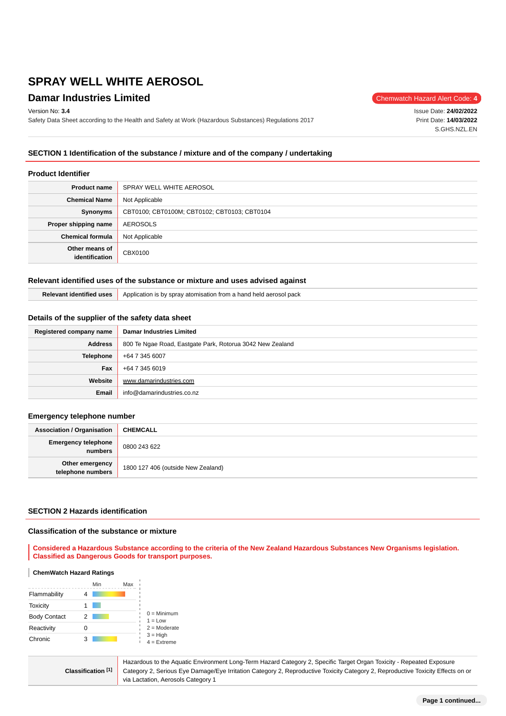## **Damar Industries Limited** Chemwatch Hazard Alert Code: 4

Version No: **3.4**

Safety Data Sheet according to the Health and Safety at Work (Hazardous Substances) Regulations 2017

Issue Date: **24/02/2022** Print Date: **14/03/2022** S.GHS.NZL.EN

### **SECTION 1 Identification of the substance / mixture and of the company / undertaking**

#### **Product Identifier**

| <b>Product name</b>              | SPRAY WELL WHITE AEROSOL                     |  |  |
|----------------------------------|----------------------------------------------|--|--|
| <b>Chemical Name</b>             | Not Applicable                               |  |  |
| Synonyms                         | CBT0100; CBT0100M; CBT0102; CBT0103; CBT0104 |  |  |
| Proper shipping name             | AEROSOLS                                     |  |  |
| <b>Chemical formula</b>          | Not Applicable                               |  |  |
| Other means of<br>identification | CBX0100                                      |  |  |

#### **Relevant identified uses of the substance or mixture and uses advised against**

| ' uses | v atomisation from a hand held aerosol.<br>pack<br>. Application is by spray |
|--------|------------------------------------------------------------------------------|
|--------|------------------------------------------------------------------------------|

#### **Details of the supplier of the safety data sheet**

| Registered company name | <b>Damar Industries Limited</b>                           |  |  |
|-------------------------|-----------------------------------------------------------|--|--|
| <b>Address</b>          | 800 Te Ngae Road, Eastgate Park, Rotorua 3042 New Zealand |  |  |
| <b>Telephone</b>        | +64 7 345 6007                                            |  |  |
| Fax                     | +64 7 345 6019                                            |  |  |
| Website                 | www.damarindustries.com                                   |  |  |
| Email                   | info@damarindustries.co.nz                                |  |  |

#### **Emergency telephone number**

| <b>Association / Organisation</b>     | <b>CHEMCALL</b>                    |
|---------------------------------------|------------------------------------|
| <b>Emergency telephone</b><br>numbers | 0800 243 622                       |
| Other emergency<br>telephone numbers  | 1800 127 406 (outside New Zealand) |

#### **SECTION 2 Hazards identification**

#### **Classification of the substance or mixture**

**Considered a Hazardous Substance according to the criteria of the New Zealand Hazardous Substances New Organisms legislation. Classified as Dangerous Goods for transport purposes.**

#### **ChemWatch Hazard Ratings**

|                     |   | Min | Max |                                               |
|---------------------|---|-----|-----|-----------------------------------------------|
| Flammability        |   |     |     |                                               |
| <b>Toxicity</b>     |   |     |     |                                               |
| <b>Body Contact</b> | 2 |     |     | $0 =$ Minimum<br>$1 = 1$ ow                   |
| Reactivity          |   |     |     | $2 =$ Moderate<br>$3 = High$<br>$4 =$ Extreme |
| Chronic             | 3 |     |     |                                               |

**Classification [1]** Hazardous to the Aquatic Environment Long-Term Hazard Category 2, Specific Target Organ Toxicity - Repeated Exposure Category 2, Serious Eye Damage/Eye Irritation Category 2, Reproductive Toxicity Category 2, Reproductive Toxicity Effects on or via Lactation, Aerosols Category 1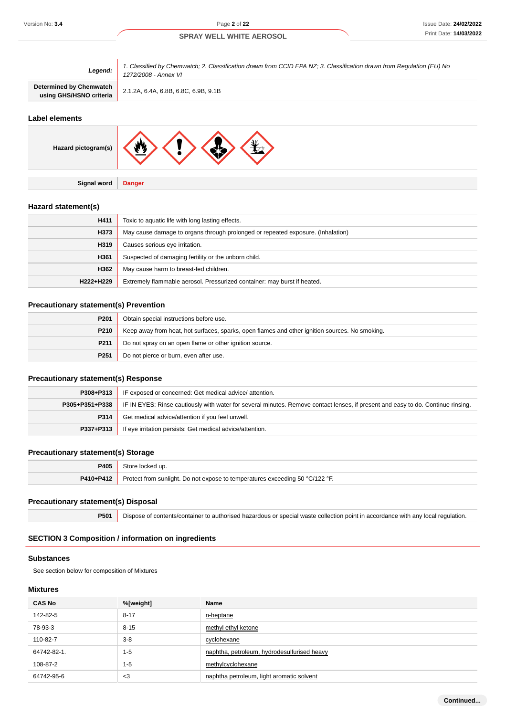| Legend:                                            | 1. Classified by Chemwatch; 2. Classification drawn from CCID EPA NZ; 3. Classification drawn from Regulation (EU) No<br>1272/2008 - Annex VI |  |  |
|----------------------------------------------------|-----------------------------------------------------------------------------------------------------------------------------------------------|--|--|
| Determined by Chemwatch<br>using GHS/HSNO criteria | 2.1.2A, 6.4A, 6.8B, 6.8C, 6.9B, 9.1B                                                                                                          |  |  |

#### **Label elements**

| Hazard pictogram(s) | <b>AK</b><br><b>W</b> |
|---------------------|-----------------------|
|                     |                       |
| Signal word         | <b>Danger</b>         |

### **Hazard statement(s)**

| H411      | Toxic to aquatic life with long lasting effects.                                |  |  |
|-----------|---------------------------------------------------------------------------------|--|--|
| H373      | May cause damage to organs through prolonged or repeated exposure. (Inhalation) |  |  |
| H319      | Causes serious eye irritation.                                                  |  |  |
| H361      | Suspected of damaging fertility or the unborn child.                            |  |  |
| H362      | May cause harm to breast-fed children.                                          |  |  |
| H222+H229 | Extremely flammable aerosol. Pressurized container: may burst if heated.        |  |  |

### **Precautionary statement(s) Prevention**

| P <sub>201</sub> | Obtain special instructions before use.                                                        |  |  |
|------------------|------------------------------------------------------------------------------------------------|--|--|
| P210             | Keep away from heat, hot surfaces, sparks, open flames and other ignition sources. No smoking. |  |  |
| P211             | Do not spray on an open flame or other ignition source.                                        |  |  |
| P <sub>251</sub> | Do not pierce or burn, even after use.                                                         |  |  |

### **Precautionary statement(s) Response**

| P308+P313      | IF exposed or concerned: Get medical advice/attention.                                                                           |  |  |
|----------------|----------------------------------------------------------------------------------------------------------------------------------|--|--|
| P305+P351+P338 | IF IN EYES: Rinse cautiously with water for several minutes. Remove contact lenses, if present and easy to do. Continue rinsing. |  |  |
| P314           | Get medical advice/attention if you feel unwell.                                                                                 |  |  |
| P337+P313      | If eye irritation persists: Get medical advice/attention.                                                                        |  |  |

### **Precautionary statement(s) Storage**

| P405      | Store locked up.                                                             |
|-----------|------------------------------------------------------------------------------|
| P410+P412 | Protect from sunlight. Do not expose to temperatures exceeding 50 °C/122 °F. |

### **Precautionary statement(s) Disposal**

**P501** Dispose of contents/container to authorised hazardous or special waste collection point in accordance with any local regulation.

### **SECTION 3 Composition / information on ingredients**

#### **Substances**

See section below for composition of Mixtures

#### **Mixtures**

| <b>CAS No</b> | %[weight] | Name                                        |
|---------------|-----------|---------------------------------------------|
| 142-82-5      | $8 - 17$  | n-heptane                                   |
| 78-93-3       | $8 - 15$  | methyl ethyl ketone                         |
| 110-82-7      | $3 - 8$   | cyclohexane                                 |
| 64742-82-1.   | $1 - 5$   | naphtha, petroleum, hydrodesulfurised heavy |
| 108-87-2      | $1 - 5$   | methylcyclohexane                           |
| 64742-95-6    | $<$ 3     | naphtha petroleum, light aromatic solvent   |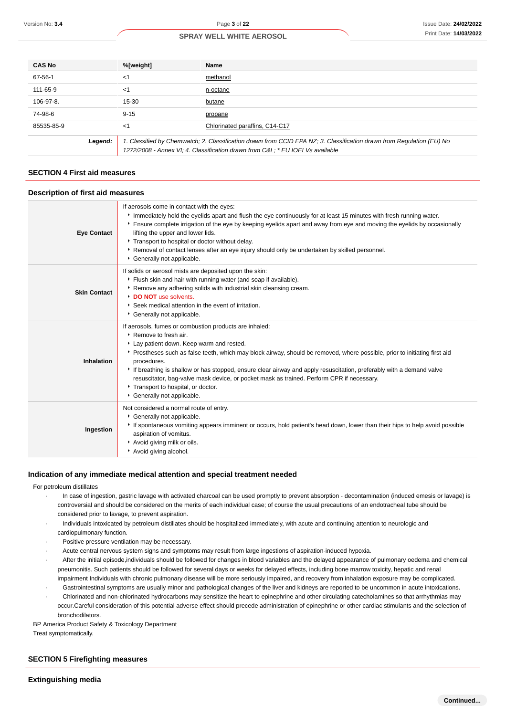| <b>CAS No</b> | %[weight] | Name                                                                                                                                                                                                  |
|---------------|-----------|-------------------------------------------------------------------------------------------------------------------------------------------------------------------------------------------------------|
| 67-56-1       | <1        | methanol                                                                                                                                                                                              |
| 111-65-9      | <1        | n-octane                                                                                                                                                                                              |
| $106-97-8.$   | $15 - 30$ | butane                                                                                                                                                                                                |
| 74-98-6       | $9 - 15$  | propane                                                                                                                                                                                               |
| 85535-85-9    | <1        | Chlorinated paraffins, C14-C17                                                                                                                                                                        |
| Legend:       |           | 1. Classified by Chemwatch; 2. Classification drawn from CCID EPA NZ; 3. Classification drawn from Regulation (EU) No<br>1272/2008 - Annex VI; 4. Classification drawn from C&L * EU IOELVs available |

#### **SECTION 4 First aid measures**

#### **Description of first aid measures**

| <b>Eye Contact</b>  | If aerosols come in contact with the eyes:<br>Immediately hold the eyelids apart and flush the eye continuously for at least 15 minutes with fresh running water.<br>Ensure complete irrigation of the eye by keeping eyelids apart and away from eye and moving the eyelids by occasionally<br>lifting the upper and lower lids.<br>Transport to hospital or doctor without delay.<br>▶ Removal of contact lenses after an eye injury should only be undertaken by skilled personnel.<br>Generally not applicable.                                          |
|---------------------|--------------------------------------------------------------------------------------------------------------------------------------------------------------------------------------------------------------------------------------------------------------------------------------------------------------------------------------------------------------------------------------------------------------------------------------------------------------------------------------------------------------------------------------------------------------|
| <b>Skin Contact</b> | If solids or aerosol mists are deposited upon the skin:<br>Flush skin and hair with running water (and soap if available).<br>▶ Remove any adhering solids with industrial skin cleansing cream.<br>DO NOT use solvents.<br>Seek medical attention in the event of irritation.<br>Cenerally not applicable.                                                                                                                                                                                                                                                  |
| Inhalation          | If aerosols, fumes or combustion products are inhaled:<br>▶ Remove to fresh air.<br>Lay patient down. Keep warm and rested.<br>Prostheses such as false teeth, which may block airway, should be removed, where possible, prior to initiating first aid<br>procedures.<br>If breathing is shallow or has stopped, ensure clear airway and apply resuscitation, preferably with a demand valve<br>resuscitator, bag-valve mask device, or pocket mask as trained. Perform CPR if necessary.<br>Transport to hospital, or doctor.<br>Generally not applicable. |
| Ingestion           | Not considered a normal route of entry.<br>Cenerally not applicable.<br>If spontaneous vomiting appears imminent or occurs, hold patient's head down, lower than their hips to help avoid possible<br>aspiration of vomitus.<br>Avoid giving milk or oils.<br>Avoid giving alcohol.                                                                                                                                                                                                                                                                          |

#### **Indication of any immediate medical attention and special treatment needed**

#### For petroleum distillates

- · In case of ingestion, gastric lavage with activated charcoal can be used promptly to prevent absorption decontamination (induced emesis or lavage) is controversial and should be considered on the merits of each individual case; of course the usual precautions of an endotracheal tube should be considered prior to lavage, to prevent aspiration.
- · Individuals intoxicated by petroleum distillates should be hospitalized immediately, with acute and continuing attention to neurologic and cardiopulmonary function.
- Positive pressure ventilation may be necessary.
- Acute central nervous system signs and symptoms may result from large ingestions of aspiration-induced hypoxia.
- After the initial episode,individuals should be followed for changes in blood variables and the delayed appearance of pulmonary oedema and chemical pneumonitis. Such patients should be followed for several days or weeks for delayed effects, including bone marrow toxicity, hepatic and renal impairment Individuals with chronic pulmonary disease will be more seriously impaired, and recovery from inhalation exposure may be complicated.
- · Gastrointestinal symptoms are usually minor and pathological changes of the liver and kidneys are reported to be uncommon in acute intoxications. · Chlorinated and non-chlorinated hydrocarbons may sensitize the heart to epinephrine and other circulating catecholamines so that arrhythmias may occur.Careful consideration of this potential adverse effect should precede administration of epinephrine or other cardiac stimulants and the selection of

BP America Product Safety & Toxicology Department

Treat symptomatically.

### **SECTION 5 Firefighting measures**

bronchodilators.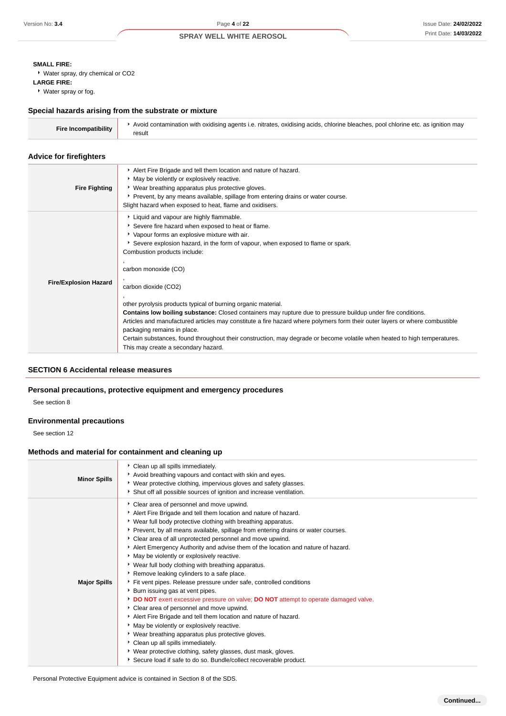### **SMALL FIRE:**

Water spray, dry chemical or CO2

#### **LARGE FIRE:**

Water spray or fog.

### **Special hazards arising from the substrate or mixture**

| <b>Fire Incompatibility</b> | Avoid contamination with oxidising agents i.e. nitrates, oxidising acids, chlorine bleaches, pool chlorine etc. as ignition may |
|-----------------------------|---------------------------------------------------------------------------------------------------------------------------------|
|                             | result                                                                                                                          |

#### **Advice for firefighters**

| <b>Fire Fighting</b>         | Alert Fire Brigade and tell them location and nature of hazard.<br>* May be violently or explosively reactive.<br>• Wear breathing apparatus plus protective gloves.<br>• Prevent, by any means available, spillage from entering drains or water course.<br>Slight hazard when exposed to heat, flame and oxidisers.                                                                                                                                                                                                                                                                                                                                                                                                                                                                                                                      |
|------------------------------|--------------------------------------------------------------------------------------------------------------------------------------------------------------------------------------------------------------------------------------------------------------------------------------------------------------------------------------------------------------------------------------------------------------------------------------------------------------------------------------------------------------------------------------------------------------------------------------------------------------------------------------------------------------------------------------------------------------------------------------------------------------------------------------------------------------------------------------------|
| <b>Fire/Explosion Hazard</b> | Liquid and vapour are highly flammable.<br>Severe fire hazard when exposed to heat or flame.<br>* Vapour forms an explosive mixture with air.<br>Severe explosion hazard, in the form of vapour, when exposed to flame or spark.<br>Combustion products include:<br>carbon monoxide (CO)<br>carbon dioxide (CO2)<br>other pyrolysis products typical of burning organic material.<br><b>Contains low boiling substance:</b> Closed containers may rupture due to pressure buildup under fire conditions.<br>Articles and manufactured articles may constitute a fire hazard where polymers form their outer layers or where combustible<br>packaging remains in place.<br>Certain substances, found throughout their construction, may degrade or become volatile when heated to high temperatures.<br>This may create a secondary hazard. |

#### **SECTION 6 Accidental release measures**

### **Personal precautions, protective equipment and emergency procedures**

See section 8

### **Environmental precautions**

See section 12

### **Methods and material for containment and cleaning up**

| <b>Minor Spills</b> | Clean up all spills immediately.<br>Avoid breathing vapours and contact with skin and eyes.<br>▶ Wear protective clothing, impervious gloves and safety glasses.<br>Shut off all possible sources of ignition and increase ventilation.                                                                                                                                                                                                                                                                                                                                                                                                                                                                                                                                                                                                                                                                                                                                                                                                                                                                                                                                         |
|---------------------|---------------------------------------------------------------------------------------------------------------------------------------------------------------------------------------------------------------------------------------------------------------------------------------------------------------------------------------------------------------------------------------------------------------------------------------------------------------------------------------------------------------------------------------------------------------------------------------------------------------------------------------------------------------------------------------------------------------------------------------------------------------------------------------------------------------------------------------------------------------------------------------------------------------------------------------------------------------------------------------------------------------------------------------------------------------------------------------------------------------------------------------------------------------------------------|
| <b>Major Spills</b> | Clear area of personnel and move upwind.<br>Alert Fire Brigade and tell them location and nature of hazard.<br>• Wear full body protective clothing with breathing apparatus.<br>Prevent, by all means available, spillage from entering drains or water courses.<br>Clear area of all unprotected personnel and move upwind.<br>Alert Emergency Authority and advise them of the location and nature of hazard.<br>* May be violently or explosively reactive.<br>▸ Wear full body clothing with breathing apparatus.<br>Remove leaking cylinders to a safe place.<br>Fit vent pipes. Release pressure under safe, controlled conditions<br>Burn issuing gas at vent pipes.<br><b>DO NOT</b> exert excessive pressure on valve; <b>DO NOT</b> attempt to operate damaged valve.<br>Clear area of personnel and move upwind.<br>Alert Fire Brigade and tell them location and nature of hazard.<br>• May be violently or explosively reactive.<br>• Wear breathing apparatus plus protective gloves.<br>Clean up all spills immediately.<br>• Wear protective clothing, safety glasses, dust mask, gloves.<br>Secure load if safe to do so. Bundle/collect recoverable product. |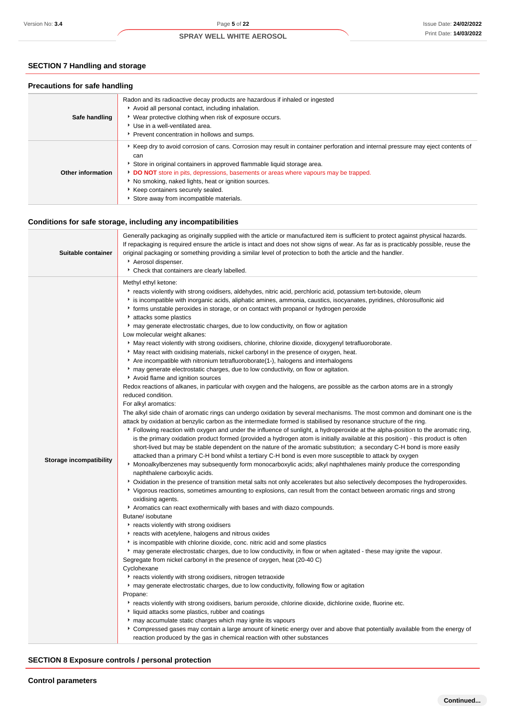### **SECTION 7 Handling and storage**

### **Precautions for safe handling**

| Safe handling     | Radon and its radioactive decay products are hazardous if inhaled or ingested<br>Avoid all personal contact, including inhalation.<br>▶ Wear protective clothing when risk of exposure occurs.<br>▶ Use in a well-ventilated area.<br>Prevent concentration in hollows and sumps.                                                                                                                                                               |
|-------------------|-------------------------------------------------------------------------------------------------------------------------------------------------------------------------------------------------------------------------------------------------------------------------------------------------------------------------------------------------------------------------------------------------------------------------------------------------|
| Other information | ▶ Keep dry to avoid corrosion of cans. Corrosion may result in container perforation and internal pressure may eject contents of<br>can<br>Store in original containers in approved flammable liquid storage area.<br>DO NOT store in pits, depressions, basements or areas where vapours may be trapped.<br>No smoking, naked lights, heat or ignition sources.<br>Keep containers securely sealed.<br>Store away from incompatible materials. |

### **Conditions for safe storage, including any incompatibilities**

| Suitable container             | Generally packaging as originally supplied with the article or manufactured item is sufficient to protect against physical hazards.<br>If repackaging is required ensure the article is intact and does not show signs of wear. As far as is practicably possible, reuse the<br>original packaging or something providing a similar level of protection to both the article and the handler.<br>Aerosol dispenser.<br>Check that containers are clearly labelled.                                                                                                                                                                                                                                                                                                                                                                                                                                                                                                                                                                                                                                                                                                                                                                                                                                                                                                                                                                                                                                                                                                                                                                                                                                                                                                                                                                                                                                                                                                                                                                                                                                                                                                                                                                                                                                                                                                                                                                                                                                                                                                                                                                                                                                                                                                                                                                                                                                                                                                                                                                                                                                                                                                                                                                                                                                                                                                                                                                                       |
|--------------------------------|---------------------------------------------------------------------------------------------------------------------------------------------------------------------------------------------------------------------------------------------------------------------------------------------------------------------------------------------------------------------------------------------------------------------------------------------------------------------------------------------------------------------------------------------------------------------------------------------------------------------------------------------------------------------------------------------------------------------------------------------------------------------------------------------------------------------------------------------------------------------------------------------------------------------------------------------------------------------------------------------------------------------------------------------------------------------------------------------------------------------------------------------------------------------------------------------------------------------------------------------------------------------------------------------------------------------------------------------------------------------------------------------------------------------------------------------------------------------------------------------------------------------------------------------------------------------------------------------------------------------------------------------------------------------------------------------------------------------------------------------------------------------------------------------------------------------------------------------------------------------------------------------------------------------------------------------------------------------------------------------------------------------------------------------------------------------------------------------------------------------------------------------------------------------------------------------------------------------------------------------------------------------------------------------------------------------------------------------------------------------------------------------------------------------------------------------------------------------------------------------------------------------------------------------------------------------------------------------------------------------------------------------------------------------------------------------------------------------------------------------------------------------------------------------------------------------------------------------------------------------------------------------------------------------------------------------------------------------------------------------------------------------------------------------------------------------------------------------------------------------------------------------------------------------------------------------------------------------------------------------------------------------------------------------------------------------------------------------------------------------------------------------------------------------------------------------------------|
| <b>Storage incompatibility</b> | Methyl ethyl ketone:<br>reacts violently with strong oxidisers, aldehydes, nitric acid, perchloric acid, potassium tert-butoxide, oleum<br>is incompatible with inorganic acids, aliphatic amines, ammonia, caustics, isocyanates, pyridines, chlorosulfonic aid<br>• forms unstable peroxides in storage, or on contact with propanol or hydrogen peroxide<br>attacks some plastics<br>* may generate electrostatic charges, due to low conductivity, on flow or agitation<br>Low molecular weight alkanes:<br>May react violently with strong oxidisers, chlorine, chlorine dioxide, dioxygenyl tetrafluoroborate.<br>May react with oxidising materials, nickel carbonyl in the presence of oxygen, heat.<br>Are incompatible with nitronium tetrafluoroborate(1-), halogens and interhalogens<br>► may generate electrostatic charges, due to low conductivity, on flow or agitation.<br>Avoid flame and ignition sources<br>Redox reactions of alkanes, in particular with oxygen and the halogens, are possible as the carbon atoms are in a strongly<br>reduced condition.<br>For alkyl aromatics:<br>The alkyl side chain of aromatic rings can undergo oxidation by several mechanisms. The most common and dominant one is the<br>attack by oxidation at benzylic carbon as the intermediate formed is stabilised by resonance structure of the ring.<br>▶ Following reaction with oxygen and under the influence of sunlight, a hydroperoxide at the alpha-position to the aromatic ring,<br>is the primary oxidation product formed (provided a hydrogen atom is initially available at this position) - this product is often<br>short-lived but may be stable dependent on the nature of the aromatic substitution; a secondary C-H bond is more easily<br>attacked than a primary C-H bond whilst a tertiary C-H bond is even more susceptible to attack by oxygen<br>• Monoalkylbenzenes may subsequently form monocarboxylic acids; alkyl naphthalenes mainly produce the corresponding<br>naphthalene carboxylic acids.<br>> Oxidation in the presence of transition metal salts not only accelerates but also selectively decomposes the hydroperoxides.<br>▶ Vigorous reactions, sometimes amounting to explosions, can result from the contact between aromatic rings and strong<br>oxidising agents.<br>Aromatics can react exothermically with bases and with diazo compounds.<br>Butane/ isobutane<br>reacts violently with strong oxidisers<br>reacts with acetylene, halogens and nitrous oxides<br>is incompatible with chlorine dioxide, conc. nitric acid and some plastics<br>• may generate electrostatic charges, due to low conductivity, in flow or when agitated - these may ignite the vapour.<br>Segregate from nickel carbonyl in the presence of oxygen, heat (20-40 C)<br>Cyclohexane<br>reacts violently with strong oxidisers, nitrogen tetraoxide<br>▶ may generate electrostatic charges, due to low conductivity, following flow or agitation<br>Propane:<br>* reacts violently with strong oxidisers, barium peroxide, chlorine dioxide, dichlorine oxide, fluorine etc.<br>If liquid attacks some plastics, rubber and coatings<br>may accumulate static charges which may ignite its vapours<br>▶ Compressed gases may contain a large amount of kinetic energy over and above that potentially available from the energy of<br>reaction produced by the gas in chemical reaction with other substances |

### **SECTION 8 Exposure controls / personal protection**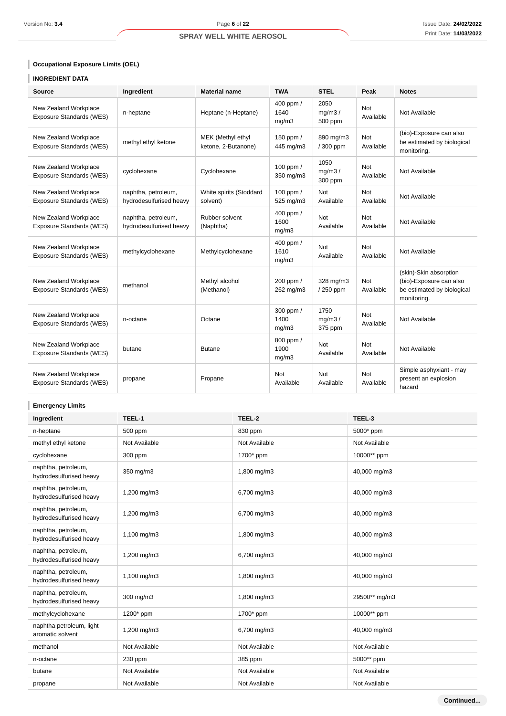### **Occupational Exposure Limits (OEL)**

### **INGREDIENT DATA**

| <b>Source</b>                                            | Ingredient                                     | <b>Material name</b>                     | <b>TWA</b>                 | <b>STEL</b>               | Peak                    | <b>Notes</b>                                                                                   |
|----------------------------------------------------------|------------------------------------------------|------------------------------------------|----------------------------|---------------------------|-------------------------|------------------------------------------------------------------------------------------------|
| New Zealand Workplace<br>Exposure Standards (WES)        | n-heptane                                      | Heptane (n-Heptane)                      | 400 ppm /<br>1640<br>mg/m3 | 2050<br>mq/m3/<br>500 ppm | Not<br>Available        | Not Available                                                                                  |
| New Zealand Workplace<br>Exposure Standards (WES)        | methyl ethyl ketone                            | MEK (Methyl ethyl<br>ketone, 2-Butanone) | 150 ppm /<br>445 mg/m3     | 890 mg/m3<br>/ 300 ppm    | Not<br>Available        | (bio)-Exposure can also<br>be estimated by biological<br>monitoring.                           |
| New Zealand Workplace<br>Exposure Standards (WES)        | cyclohexane                                    | Cyclohexane                              | 100 ppm /<br>350 mg/m3     | 1050<br>mq/m3/<br>300 ppm | Not<br>Available        | Not Available                                                                                  |
| New Zealand Workplace<br><b>Exposure Standards (WES)</b> | naphtha, petroleum,<br>hydrodesulfurised heavy | White spirits (Stoddard<br>solvent)      | 100 ppm $/$<br>525 mg/m3   | <b>Not</b><br>Available   | <b>Not</b><br>Available | Not Available                                                                                  |
| New Zealand Workplace<br><b>Exposure Standards (WES)</b> | naphtha, petroleum,<br>hydrodesulfurised heavy | Rubber solvent<br>(Naphtha)              | 400 ppm /<br>1600<br>mg/m3 | <b>Not</b><br>Available   | <b>Not</b><br>Available | Not Available                                                                                  |
| New Zealand Workplace<br>Exposure Standards (WES)        | methylcyclohexane                              | Methylcyclohexane                        | 400 ppm /<br>1610<br>mg/m3 | <b>Not</b><br>Available   | Not<br>Available        | Not Available                                                                                  |
| New Zealand Workplace<br>Exposure Standards (WES)        | methanol                                       | Methyl alcohol<br>(Methanol)             | 200 ppm /<br>262 mg/m3     | 328 mg/m3<br>/250 ppm     | <b>Not</b><br>Available | (skin)-Skin absorption<br>(bio)-Exposure can also<br>be estimated by biological<br>monitoring. |
| New Zealand Workplace<br>Exposure Standards (WES)        | n-octane                                       | Octane                                   | 300 ppm /<br>1400<br>mq/m3 | 1750<br>mq/m3/<br>375 ppm | Not<br>Available        | Not Available                                                                                  |
| New Zealand Workplace<br>Exposure Standards (WES)        | butane                                         | <b>Butane</b>                            | 800 ppm /<br>1900<br>mg/m3 | <b>Not</b><br>Available   | <b>Not</b><br>Available | Not Available                                                                                  |
| New Zealand Workplace<br>Exposure Standards (WES)        | propane                                        | Propane                                  | Not<br>Available           | <b>Not</b><br>Available   | Not<br>Available        | Simple asphyxiant - may<br>present an explosion<br>hazard                                      |

### **Emergency Limits**

| Ingredient                                     | TEEL-1        | TEEL-2        | TEEL-3        |
|------------------------------------------------|---------------|---------------|---------------|
| n-heptane                                      | 500 ppm       | 830 ppm       | 5000* ppm     |
| methyl ethyl ketone                            | Not Available | Not Available | Not Available |
| cyclohexane                                    | 300 ppm       | 1700* ppm     | 10000** ppm   |
| naphtha, petroleum,<br>hydrodesulfurised heavy | 350 mg/m3     | 1,800 mg/m3   | 40,000 mg/m3  |
| naphtha, petroleum,<br>hydrodesulfurised heavy | 1,200 mg/m3   | 6,700 mg/m3   | 40,000 mg/m3  |
| naphtha, petroleum,<br>hydrodesulfurised heavy | 1,200 mg/m3   | 6,700 mg/m3   | 40,000 mg/m3  |
| naphtha, petroleum,<br>hydrodesulfurised heavy | 1,100 mg/m3   | 1,800 mg/m3   | 40,000 mg/m3  |
| naphtha, petroleum,<br>hydrodesulfurised heavy | 1,200 mg/m3   | 6,700 mg/m3   | 40,000 mg/m3  |
| naphtha, petroleum,<br>hydrodesulfurised heavy | 1,100 mg/m3   | 1,800 mg/m3   | 40,000 mg/m3  |
| naphtha, petroleum,<br>hydrodesulfurised heavy | 300 mg/m3     | 1,800 mg/m3   | 29500** mg/m3 |
| methylcyclohexane                              | 1200* ppm     | 1700* ppm     | 10000** ppm   |
| naphtha petroleum, light<br>aromatic solvent   | 1,200 mg/m3   | 6,700 mg/m3   | 40,000 mg/m3  |
| methanol                                       | Not Available | Not Available | Not Available |
| n-octane                                       | 230 ppm       | 385 ppm       | 5000** ppm    |
| butane                                         | Not Available | Not Available | Not Available |
| propane                                        | Not Available | Not Available | Not Available |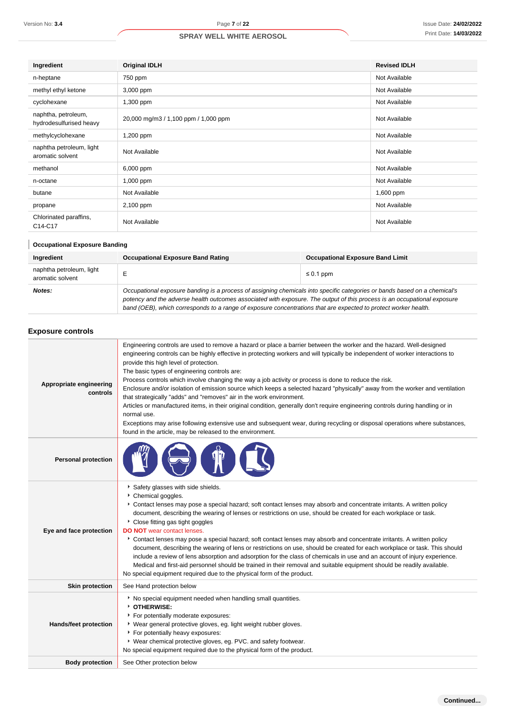| Ingredient                                     | <b>Original IDLH</b>                 | <b>Revised IDLH</b> |
|------------------------------------------------|--------------------------------------|---------------------|
| n-heptane                                      | 750 ppm                              | Not Available       |
| methyl ethyl ketone                            | 3,000 ppm                            | Not Available       |
| cyclohexane                                    | 1,300 ppm                            | Not Available       |
| naphtha, petroleum,<br>hydrodesulfurised heavy | 20,000 mg/m3 / 1,100 ppm / 1,000 ppm | Not Available       |
| methylcyclohexane                              | 1,200 ppm                            | Not Available       |
| naphtha petroleum, light<br>aromatic solvent   | Not Available                        | Not Available       |
| methanol                                       | 6,000 ppm                            | Not Available       |
| n-octane                                       | $1,000$ ppm                          | Not Available       |
| butane                                         | Not Available                        | 1,600 ppm           |
| propane                                        | 2,100 ppm                            | Not Available       |
| Chlorinated paraffins,<br>C14-C17              | Not Available                        | Not Available       |

### **Occupational Exposure Banding**

| Ingredient                                   | <b>Occupational Exposure Band Rating</b>                                                                                                                                                                                                                                                                                                                                 | <b>Occupational Exposure Band Limit</b> |  |
|----------------------------------------------|--------------------------------------------------------------------------------------------------------------------------------------------------------------------------------------------------------------------------------------------------------------------------------------------------------------------------------------------------------------------------|-----------------------------------------|--|
| naphtha petroleum, light<br>aromatic solvent |                                                                                                                                                                                                                                                                                                                                                                          | $\leq 0.1$ ppm                          |  |
| Notes:                                       | Occupational exposure banding is a process of assigning chemicals into specific categories or bands based on a chemical's<br>potency and the adverse health outcomes associated with exposure. The output of this process is an occupational exposure<br>band (OEB), which corresponds to a range of exposure concentrations that are expected to protect worker health. |                                         |  |

#### **Exposure controls**

| Version No: 3.4                                | Page 7 of 22                                                                                                                                                                                                                                                                                                                                                                                                                                                                                                                                                                                                                                                                                                                                                                                                                                                                                                                                                                                                     |                                         | Issue Date: 24/02/20: |
|------------------------------------------------|------------------------------------------------------------------------------------------------------------------------------------------------------------------------------------------------------------------------------------------------------------------------------------------------------------------------------------------------------------------------------------------------------------------------------------------------------------------------------------------------------------------------------------------------------------------------------------------------------------------------------------------------------------------------------------------------------------------------------------------------------------------------------------------------------------------------------------------------------------------------------------------------------------------------------------------------------------------------------------------------------------------|-----------------------------------------|-----------------------|
|                                                | <b>SPRAY WELL WHITE AEROSOL</b>                                                                                                                                                                                                                                                                                                                                                                                                                                                                                                                                                                                                                                                                                                                                                                                                                                                                                                                                                                                  |                                         | Print Date: 14/03/20: |
|                                                |                                                                                                                                                                                                                                                                                                                                                                                                                                                                                                                                                                                                                                                                                                                                                                                                                                                                                                                                                                                                                  |                                         |                       |
| Ingredient                                     | <b>Original IDLH</b>                                                                                                                                                                                                                                                                                                                                                                                                                                                                                                                                                                                                                                                                                                                                                                                                                                                                                                                                                                                             | <b>Revised IDLH</b>                     |                       |
| n-heptane                                      | 750 ppm                                                                                                                                                                                                                                                                                                                                                                                                                                                                                                                                                                                                                                                                                                                                                                                                                                                                                                                                                                                                          |                                         | Not Available         |
| methyl ethyl ketone                            | 3,000 ppm                                                                                                                                                                                                                                                                                                                                                                                                                                                                                                                                                                                                                                                                                                                                                                                                                                                                                                                                                                                                        |                                         | Not Available         |
| cyclohexane                                    | 1,300 ppm                                                                                                                                                                                                                                                                                                                                                                                                                                                                                                                                                                                                                                                                                                                                                                                                                                                                                                                                                                                                        |                                         | Not Available         |
| naphtha, petroleum,<br>hydrodesulfurised heavy | 20,000 mg/m3 / 1,100 ppm / 1,000 ppm                                                                                                                                                                                                                                                                                                                                                                                                                                                                                                                                                                                                                                                                                                                                                                                                                                                                                                                                                                             |                                         | Not Available         |
| methylcyclohexane                              | 1,200 ppm                                                                                                                                                                                                                                                                                                                                                                                                                                                                                                                                                                                                                                                                                                                                                                                                                                                                                                                                                                                                        |                                         | Not Available         |
| naphtha petroleum, light<br>aromatic solvent   | Not Available                                                                                                                                                                                                                                                                                                                                                                                                                                                                                                                                                                                                                                                                                                                                                                                                                                                                                                                                                                                                    |                                         | Not Available         |
| methanol                                       | 6,000 ppm                                                                                                                                                                                                                                                                                                                                                                                                                                                                                                                                                                                                                                                                                                                                                                                                                                                                                                                                                                                                        |                                         | Not Available         |
| n-octane                                       | 1,000 ppm                                                                                                                                                                                                                                                                                                                                                                                                                                                                                                                                                                                                                                                                                                                                                                                                                                                                                                                                                                                                        |                                         | Not Available         |
| butane                                         | Not Available                                                                                                                                                                                                                                                                                                                                                                                                                                                                                                                                                                                                                                                                                                                                                                                                                                                                                                                                                                                                    |                                         | 1,600 ppm             |
| propane                                        | 2,100 ppm                                                                                                                                                                                                                                                                                                                                                                                                                                                                                                                                                                                                                                                                                                                                                                                                                                                                                                                                                                                                        |                                         | Not Available         |
| Chlorinated paraffins,<br>C14-C17              | Not Available                                                                                                                                                                                                                                                                                                                                                                                                                                                                                                                                                                                                                                                                                                                                                                                                                                                                                                                                                                                                    |                                         | Not Available         |
| <b>Occupational Exposure Banding</b>           |                                                                                                                                                                                                                                                                                                                                                                                                                                                                                                                                                                                                                                                                                                                                                                                                                                                                                                                                                                                                                  |                                         |                       |
| Ingredient                                     | <b>Occupational Exposure Band Rating</b>                                                                                                                                                                                                                                                                                                                                                                                                                                                                                                                                                                                                                                                                                                                                                                                                                                                                                                                                                                         | <b>Occupational Exposure Band Limit</b> |                       |
| naphtha petroleum, light<br>aromatic solvent   | Е                                                                                                                                                                                                                                                                                                                                                                                                                                                                                                                                                                                                                                                                                                                                                                                                                                                                                                                                                                                                                | $\leq 0.1$ ppm                          |                       |
| Notes:                                         | Occupational exposure banding is a process of assigning chemicals into specific categories or bands based on a chemical's<br>potency and the adverse health outcomes associated with exposure. The output of this process is an occupational exposure<br>band (OEB), which corresponds to a range of exposure concentrations that are expected to protect worker health.                                                                                                                                                                                                                                                                                                                                                                                                                                                                                                                                                                                                                                         |                                         |                       |
| <b>Exposure controls</b>                       |                                                                                                                                                                                                                                                                                                                                                                                                                                                                                                                                                                                                                                                                                                                                                                                                                                                                                                                                                                                                                  |                                         |                       |
| Appropriate engineering<br>controls            | Engineering controls are used to remove a hazard or place a barrier between the worker and the hazard. Well-designed<br>engineering controls can be highly effective in protecting workers and will typically be independent of worker interactions to<br>provide this high level of protection.<br>The basic types of engineering controls are:<br>Process controls which involve changing the way a job activity or process is done to reduce the risk.<br>Enclosure and/or isolation of emission source which keeps a selected hazard "physically" away from the worker and ventilation<br>that strategically "adds" and "removes" air in the work environment.<br>Articles or manufactured items, in their original condition, generally don't require engineering controls during handling or in<br>normal use.<br>Exceptions may arise following extensive use and subsequent wear, during recycling or disposal operations where substances,<br>found in the article, may be released to the environment. |                                         |                       |
| <b>Personal protection</b>                     |                                                                                                                                                                                                                                                                                                                                                                                                                                                                                                                                                                                                                                                                                                                                                                                                                                                                                                                                                                                                                  |                                         |                       |
| Eye and face protection                        | Safety glasses with side shields.<br>Chemical goggles.<br>Contact lenses may pose a special hazard; soft contact lenses may absorb and concentrate irritants. A written policy<br>document, describing the wearing of lenses or restrictions on use, should be created for each workplace or task.<br>Close fitting gas tight goggles<br><b>DO NOT</b> wear contact lenses.<br>Contact lenses may pose a special hazard; soft contact lenses may absorb and concentrate irritants. A written policy<br>document, describing the wearing of lens or restrictions on use, should be created for each workplace or task. This should<br>include a review of lens absorption and adsorption for the class of chemicals in use and an account of injury experience.<br>Medical and first-aid personnel should be trained in their removal and suitable equipment should be readily available.<br>No special equipment required due to the physical form of the product.                                               |                                         |                       |
| <b>Skin protection</b>                         | See Hand protection below                                                                                                                                                                                                                                                                                                                                                                                                                                                                                                                                                                                                                                                                                                                                                                                                                                                                                                                                                                                        |                                         |                       |
| Hands/feet protection                          | No special equipment needed when handling small quantities.<br>OTHERWISE:<br>For potentially moderate exposures:<br>▶ Wear general protective gloves, eg. light weight rubber gloves.<br>For potentially heavy exposures:<br>▶ Wear chemical protective gloves, eg. PVC. and safety footwear.<br>No special equipment required due to the physical form of the product.                                                                                                                                                                                                                                                                                                                                                                                                                                                                                                                                                                                                                                          |                                         |                       |
| <b>Body protection</b>                         | See Other protection below                                                                                                                                                                                                                                                                                                                                                                                                                                                                                                                                                                                                                                                                                                                                                                                                                                                                                                                                                                                       |                                         |                       |
|                                                |                                                                                                                                                                                                                                                                                                                                                                                                                                                                                                                                                                                                                                                                                                                                                                                                                                                                                                                                                                                                                  |                                         |                       |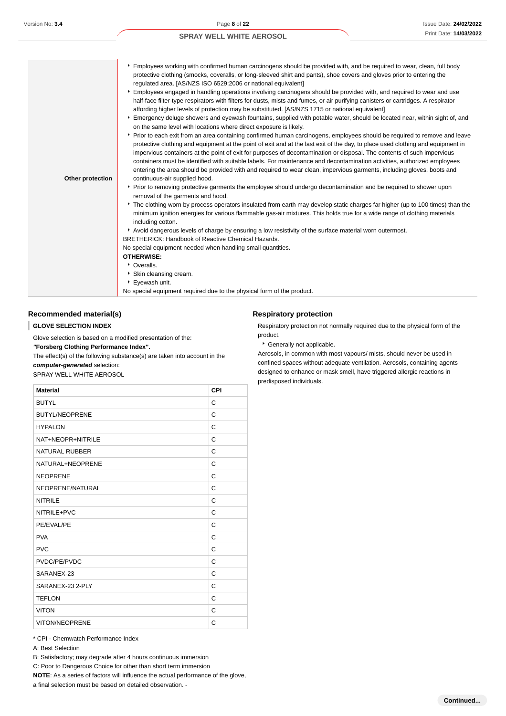| Other protection | Employees working with confirmed human carcinogens should be provided with, and be required to wear, clean, full body<br>protective clothing (smocks, coveralls, or long-sleeved shirt and pants), shoe covers and gloves prior to entering the<br>regulated area. [AS/NZS ISO 6529:2006 or national equivalent]<br>Employees engaged in handling operations involving carcinogens should be provided with, and required to wear and use<br>half-face filter-type respirators with filters for dusts, mists and fumes, or air purifying canisters or cartridges. A respirator<br>affording higher levels of protection may be substituted. [AS/NZS 1715 or national equivalent]<br>Emergency deluge showers and eyewash fountains, supplied with potable water, should be located near, within sight of, and<br>on the same level with locations where direct exposure is likely.<br>Prior to each exit from an area containing confirmed human carcinogens, employees should be required to remove and leave<br>protective clothing and equipment at the point of exit and at the last exit of the day, to place used clothing and equipment in<br>impervious containers at the point of exit for purposes of decontamination or disposal. The contents of such impervious<br>containers must be identified with suitable labels. For maintenance and decontamination activities, authorized employees<br>entering the area should be provided with and required to wear clean, impervious garments, including gloves, boots and<br>continuous-air supplied hood.<br>▶ Prior to removing protective garments the employee should undergo decontamination and be required to shower upon<br>removal of the garments and hood.<br>The clothing worn by process operators insulated from earth may develop static charges far higher (up to 100 times) than the<br>minimum ignition energies for various flammable gas-air mixtures. This holds true for a wide range of clothing materials<br>including cotton. |
|------------------|----------------------------------------------------------------------------------------------------------------------------------------------------------------------------------------------------------------------------------------------------------------------------------------------------------------------------------------------------------------------------------------------------------------------------------------------------------------------------------------------------------------------------------------------------------------------------------------------------------------------------------------------------------------------------------------------------------------------------------------------------------------------------------------------------------------------------------------------------------------------------------------------------------------------------------------------------------------------------------------------------------------------------------------------------------------------------------------------------------------------------------------------------------------------------------------------------------------------------------------------------------------------------------------------------------------------------------------------------------------------------------------------------------------------------------------------------------------------------------------------------------------------------------------------------------------------------------------------------------------------------------------------------------------------------------------------------------------------------------------------------------------------------------------------------------------------------------------------------------------------------------------------------------------------------------------------------------------------------------------------------------------|
|                  | Avoid dangerous levels of charge by ensuring a low resistivity of the surface material worn outermost.                                                                                                                                                                                                                                                                                                                                                                                                                                                                                                                                                                                                                                                                                                                                                                                                                                                                                                                                                                                                                                                                                                                                                                                                                                                                                                                                                                                                                                                                                                                                                                                                                                                                                                                                                                                                                                                                                                         |
|                  | <b>BRETHERICK: Handbook of Reactive Chemical Hazards.</b>                                                                                                                                                                                                                                                                                                                                                                                                                                                                                                                                                                                                                                                                                                                                                                                                                                                                                                                                                                                                                                                                                                                                                                                                                                                                                                                                                                                                                                                                                                                                                                                                                                                                                                                                                                                                                                                                                                                                                      |
|                  | No special equipment needed when handling small quantities.<br><b>OTHERWISE:</b>                                                                                                                                                                                                                                                                                                                                                                                                                                                                                                                                                                                                                                                                                                                                                                                                                                                                                                                                                                                                                                                                                                                                                                                                                                                                                                                                                                                                                                                                                                                                                                                                                                                                                                                                                                                                                                                                                                                               |
|                  | • Overalls.                                                                                                                                                                                                                                                                                                                                                                                                                                                                                                                                                                                                                                                                                                                                                                                                                                                                                                                                                                                                                                                                                                                                                                                                                                                                                                                                                                                                                                                                                                                                                                                                                                                                                                                                                                                                                                                                                                                                                                                                    |
|                  | Skin cleansing cream.                                                                                                                                                                                                                                                                                                                                                                                                                                                                                                                                                                                                                                                                                                                                                                                                                                                                                                                                                                                                                                                                                                                                                                                                                                                                                                                                                                                                                                                                                                                                                                                                                                                                                                                                                                                                                                                                                                                                                                                          |
|                  | ▶ Eyewash unit.                                                                                                                                                                                                                                                                                                                                                                                                                                                                                                                                                                                                                                                                                                                                                                                                                                                                                                                                                                                                                                                                                                                                                                                                                                                                                                                                                                                                                                                                                                                                                                                                                                                                                                                                                                                                                                                                                                                                                                                                |
|                  | No special equipment required due to the physical form of the product.                                                                                                                                                                                                                                                                                                                                                                                                                                                                                                                                                                                                                                                                                                                                                                                                                                                                                                                                                                                                                                                                                                                                                                                                                                                                                                                                                                                                                                                                                                                                                                                                                                                                                                                                                                                                                                                                                                                                         |

### **Recommended material(s)**

#### **GLOVE SELECTION INDEX** ı

Glove selection is based on a modified presentation of the:

**"Forsberg Clothing Performance Index".**

The effect(s) of the following substance(s) are taken into account in the **computer-generated** selection: SPRAY WELL WHITE AEROSOL

| <b>Material</b>       | CPI |
|-----------------------|-----|
| <b>BUTYL</b>          | C   |
| <b>BUTYL/NEOPRENE</b> | C   |
| <b>HYPALON</b>        | C   |
| NAT+NEOPR+NITRILE     | С   |
| <b>NATURAL RUBBER</b> | C   |
| NATURAL+NEOPRENE      | C   |
| <b>NEOPRENE</b>       | С   |
| NEOPRENE/NATURAL      | C   |
| <b>NITRILE</b>        | С   |
| NITRILE+PVC           | C   |
| PE/EVAL/PE            | C   |
| <b>PVA</b>            | C   |
| <b>PVC</b>            | C   |
| PVDC/PE/PVDC          | C   |
| SARANEX-23            | C   |
| SARANEX-23 2-PLY      | C   |
| <b>TEFLON</b>         | C   |
| <b>VITON</b>          | С   |
| VITON/NEOPRENE        | C   |

\* CPI - Chemwatch Performance Index

A: Best Selection

B: Satisfactory; may degrade after 4 hours continuous immersion

C: Poor to Dangerous Choice for other than short term immersion

**NOTE**: As a series of factors will influence the actual performance of the glove,

a final selection must be based on detailed observation. -

#### **Respiratory protection**

Respiratory protection not normally required due to the physical form of the product.

Generally not applicable.

Aerosols, in common with most vapours/ mists, should never be used in confined spaces without adequate ventilation. Aerosols, containing agents designed to enhance or mask smell, have triggered allergic reactions in predisposed individuals.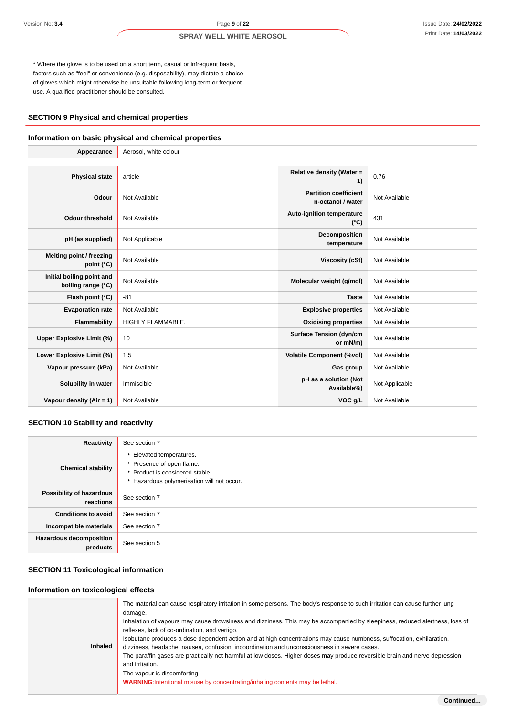\* Where the glove is to be used on a short term, casual or infrequent basis, factors such as "feel" or convenience (e.g. disposability), may dictate a choice of gloves which might otherwise be unsuitable following long-term or frequent use. A qualified practitioner should be consulted.

### **SECTION 9 Physical and chemical properties**

#### **Information on basic physical and chemical properties**

| Appearance                                      | Aerosol, white colour    |                                                   |                |  |
|-------------------------------------------------|--------------------------|---------------------------------------------------|----------------|--|
|                                                 |                          |                                                   |                |  |
| <b>Physical state</b>                           | article                  | Relative density (Water =<br>1)                   | 0.76           |  |
| Odour                                           | Not Available            | <b>Partition coefficient</b><br>n-octanol / water | Not Available  |  |
| <b>Odour threshold</b>                          | Not Available            | Auto-ignition temperature<br>$(^{\circ}C)$        | 431            |  |
| pH (as supplied)                                | Not Applicable           | Decomposition<br>temperature                      | Not Available  |  |
| Melting point / freezing<br>point $(^{\circ}C)$ | Not Available            | Viscosity (cSt)                                   | Not Available  |  |
| Initial boiling point and<br>boiling range (°C) | Not Available            | Molecular weight (g/mol)                          | Not Available  |  |
| Flash point (°C)                                | $-81$                    | <b>Taste</b>                                      | Not Available  |  |
| <b>Evaporation rate</b>                         | Not Available            | <b>Explosive properties</b>                       | Not Available  |  |
| Flammability                                    | <b>HIGHLY FLAMMABLE.</b> | <b>Oxidising properties</b>                       | Not Available  |  |
| <b>Upper Explosive Limit (%)</b>                | 10                       | <b>Surface Tension (dyn/cm</b><br>or mN/m)        | Not Available  |  |
| Lower Explosive Limit (%)                       | 1.5                      | <b>Volatile Component (%vol)</b>                  | Not Available  |  |
| Vapour pressure (kPa)                           | Not Available            | Gas group                                         | Not Available  |  |
| Solubility in water                             | Immiscible               | pH as a solution (Not<br>Available%)              | Not Applicable |  |
| Vapour density (Air = 1)                        | Not Available            | VOC g/L                                           | Not Available  |  |

### **SECTION 10 Stability and reactivity**

| Reactivity                                 | See section 7                                                                                                                    |
|--------------------------------------------|----------------------------------------------------------------------------------------------------------------------------------|
| <b>Chemical stability</b>                  | Elevated temperatures.<br>Presence of open flame.<br>▶ Product is considered stable.<br>Hazardous polymerisation will not occur. |
| Possibility of hazardous<br>reactions      | See section 7                                                                                                                    |
| <b>Conditions to avoid</b>                 | See section 7                                                                                                                    |
| Incompatible materials                     | See section 7                                                                                                                    |
| <b>Hazardous decomposition</b><br>products | See section 5                                                                                                                    |

### **SECTION 11 Toxicological information**

### **Information on toxicological effects**

| <b>Inhaled</b> | The material can cause respiratory irritation in some persons. The body's response to such irritation can cause further lung<br>damage.<br>Inhalation of vapours may cause drowsiness and dizziness. This may be accompanied by sleepiness, reduced alertness, loss of<br>reflexes, lack of co-ordination, and vertigo.<br>Isobutane produces a dose dependent action and at high concentrations may cause numbness, suffocation, exhilaration,<br>dizziness, headache, nausea, confusion, incoordination and unconsciousness in severe cases.<br>The paraffin gases are practically not harmful at low doses. Higher doses may produce reversible brain and nerve depression<br>and irritation.<br>The vapour is discomforting<br><b>WARNING:</b> Intentional misuse by concentrating/inhaling contents may be lethal. |
|----------------|-------------------------------------------------------------------------------------------------------------------------------------------------------------------------------------------------------------------------------------------------------------------------------------------------------------------------------------------------------------------------------------------------------------------------------------------------------------------------------------------------------------------------------------------------------------------------------------------------------------------------------------------------------------------------------------------------------------------------------------------------------------------------------------------------------------------------|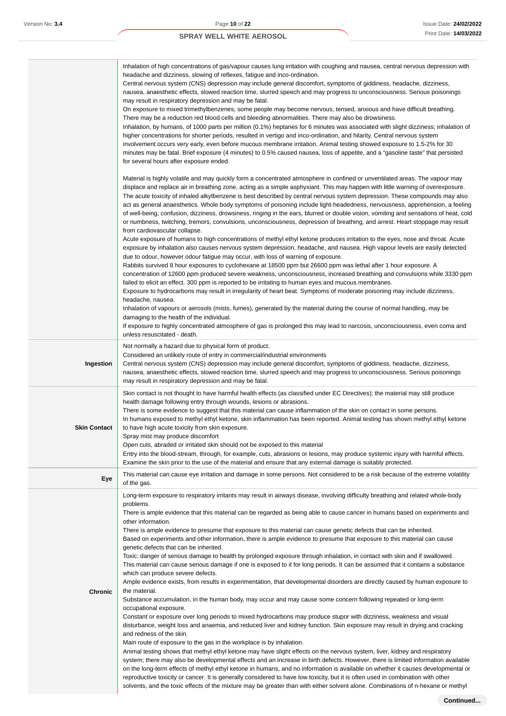|                     | Inhalation of high concentrations of gas/vapour causes lung irritation with coughing and nausea, central nervous depression with<br>headache and dizziness, slowing of reflexes, fatigue and inco-ordination.<br>Central nervous system (CNS) depression may include general discomfort, symptoms of giddiness, headache, dizziness,<br>nausea, anaesthetic effects, slowed reaction time, slurred speech and may progress to unconsciousness. Serious poisonings<br>may result in respiratory depression and may be fatal.<br>On exposure to mixed trimethylbenzenes, some people may become nervous, tensed, anxious and have difficult breathing.<br>There may be a reduction red blood cells and bleeding abnormalities. There may also be drowsiness.<br>Inhalation, by humans, of 1000 parts per million (0.1%) heptanes for 6 minutes was associated with slight dizziness; inhalation of<br>higher concentrations for shorter periods, resulted in vertigo and inco-ordination, and hilarity. Central nervous system<br>involvement occurs very early, even before mucous membrane irritation. Animal testing showed exposure to 1.5-2% for 30<br>minutes may be fatal. Brief exposure (4 minutes) to 0.5% caused nausea, loss of appetite, and a "gasoline taste" that persisted<br>for several hours after exposure ended.                                                                                                                                                                                                                                                                                                                                                                                                                                                                                                                                                                                                                                                                                                                                                                                                                                                                                                         |
|---------------------|----------------------------------------------------------------------------------------------------------------------------------------------------------------------------------------------------------------------------------------------------------------------------------------------------------------------------------------------------------------------------------------------------------------------------------------------------------------------------------------------------------------------------------------------------------------------------------------------------------------------------------------------------------------------------------------------------------------------------------------------------------------------------------------------------------------------------------------------------------------------------------------------------------------------------------------------------------------------------------------------------------------------------------------------------------------------------------------------------------------------------------------------------------------------------------------------------------------------------------------------------------------------------------------------------------------------------------------------------------------------------------------------------------------------------------------------------------------------------------------------------------------------------------------------------------------------------------------------------------------------------------------------------------------------------------------------------------------------------------------------------------------------------------------------------------------------------------------------------------------------------------------------------------------------------------------------------------------------------------------------------------------------------------------------------------------------------------------------------------------------------------------------------------------------------------------------------------------------------------------------|
|                     | Material is highly volatile and may quickly form a concentrated atmosphere in confined or unventilated areas. The vapour may<br>displace and replace air in breathing zone, acting as a simple asphyxiant. This may happen with little warning of overexposure.<br>The acute toxicity of inhaled alkylbenzene is best described by central nervous system depression. These compounds may also<br>act as general anaesthetics. Whole body symptoms of poisoning include light-headedness, nervousness, apprehension, a feeling<br>of well-being, confusion, dizziness, drowsiness, ringing in the ears, blurred or double vision, vomiting and sensations of heat, cold<br>or numbness, twitching, tremors, convulsions, unconsciousness, depression of breathing, and arrest. Heart stoppage may result<br>from cardiovascular collapse.<br>Acute exposure of humans to high concentrations of methyl ethyl ketone produces irritation to the eyes, nose and throat. Acute<br>exposure by inhalation also causes nervous system depression, headache, and nausea. High vapour levels are easily detected<br>due to odour, however odour fatigue may occur, with loss of warning of exposure.<br>Rabbits survived 8 hour exposures to cyclohexane at 18500 ppm but 26600 ppm was lethal after 1 hour exposure. A<br>concentration of 12600 ppm produced severe weakness, unconsciousness, increased breathing and convulsions while 3330 ppm<br>failed to elicit an effect. 300 ppm is reported to be irritating to human eyes and mucous membranes.<br>Exposure to hydrocarbons may result in irregularity of heart beat. Symptoms of moderate poisoning may include dizziness,<br>headache, nausea.<br>Inhalation of vapours or aerosols (mists, fumes), generated by the material during the course of normal handling, may be<br>damaging to the health of the individual.<br>If exposure to highly concentrated atmosphere of gas is prolonged this may lead to narcosis, unconsciousness, even coma and<br>unless resuscitated - death.                                                                                                                                                                                                |
| Ingestion           | Not normally a hazard due to physical form of product.<br>Considered an unlikely route of entry in commercial/industrial environments<br>Central nervous system (CNS) depression may include general discomfort, symptoms of giddiness, headache, dizziness,<br>nausea, anaesthetic effects, slowed reaction time, slurred speech and may progress to unconsciousness. Serious poisonings<br>may result in respiratory depression and may be fatal.                                                                                                                                                                                                                                                                                                                                                                                                                                                                                                                                                                                                                                                                                                                                                                                                                                                                                                                                                                                                                                                                                                                                                                                                                                                                                                                                                                                                                                                                                                                                                                                                                                                                                                                                                                                          |
| <b>Skin Contact</b> | Skin contact is not thought to have harmful health effects (as classified under EC Directives); the material may still produce<br>health damage following entry through wounds, lesions or abrasions.<br>There is some evidence to suggest that this material can cause inflammation of the skin on contact in some persons.<br>In humans exposed to methyl ethyl ketone, skin inflammation has been reported. Animal testing has shown methyl ethyl ketone<br>to have high acute toxicity from skin exposure.<br>Spray mist may produce discomfort<br>Open cuts, abraded or irritated skin should not be exposed to this material<br>Entry into the blood-stream, through, for example, cuts, abrasions or lesions, may produce systemic injury with harmful effects.<br>Examine the skin prior to the use of the material and ensure that any external damage is suitably protected.                                                                                                                                                                                                                                                                                                                                                                                                                                                                                                                                                                                                                                                                                                                                                                                                                                                                                                                                                                                                                                                                                                                                                                                                                                                                                                                                                       |
| Eye                 | This material can cause eye irritation and damage in some persons. Not considered to be a risk because of the extreme volatility<br>of the gas.                                                                                                                                                                                                                                                                                                                                                                                                                                                                                                                                                                                                                                                                                                                                                                                                                                                                                                                                                                                                                                                                                                                                                                                                                                                                                                                                                                                                                                                                                                                                                                                                                                                                                                                                                                                                                                                                                                                                                                                                                                                                                              |
| Chronic             | Long-term exposure to respiratory irritants may result in airways disease, involving difficulty breathing and related whole-body<br>problems.<br>There is ample evidence that this material can be regarded as being able to cause cancer in humans based on experiments and<br>other information.<br>There is ample evidence to presume that exposure to this material can cause genetic defects that can be inherited.<br>Based on experiments and other information, there is ample evidence to presume that exposure to this material can cause<br>genetic defects that can be inherited.<br>Toxic: danger of serious damage to health by prolonged exposure through inhalation, in contact with skin and if swallowed.<br>This material can cause serious damage if one is exposed to it for long periods. It can be assumed that it contains a substance<br>which can produce severe defects.<br>Ample evidence exists, from results in experimentation, that developmental disorders are directly caused by human exposure to<br>the material.<br>Substance accumulation, in the human body, may occur and may cause some concern following repeated or long-term<br>occupational exposure.<br>Constant or exposure over long periods to mixed hydrocarbons may produce stupor with dizziness, weakness and visual<br>disturbance, weight loss and anaemia, and reduced liver and kidney function. Skin exposure may result in drying and cracking<br>and redness of the skin.<br>Main route of exposure to the gas in the workplace is by inhalation.<br>Animal testing shows that methyl ethyl ketone may have slight effects on the nervous system, liver, kidney and respiratory<br>system; there may also be developmental effects and an increase in birth defects. However, there is limited information available<br>on the long-term effects of methyl ethyl ketone in humans, and no information is available on whether it causes developmental or<br>reproductive toxicity or cancer. It is generally considered to have low toxicity, but it is often used in combination with other<br>solvents, and the toxic effects of the mixture may be greater than with either solvent alone. Combinations of n-hexane or methyl |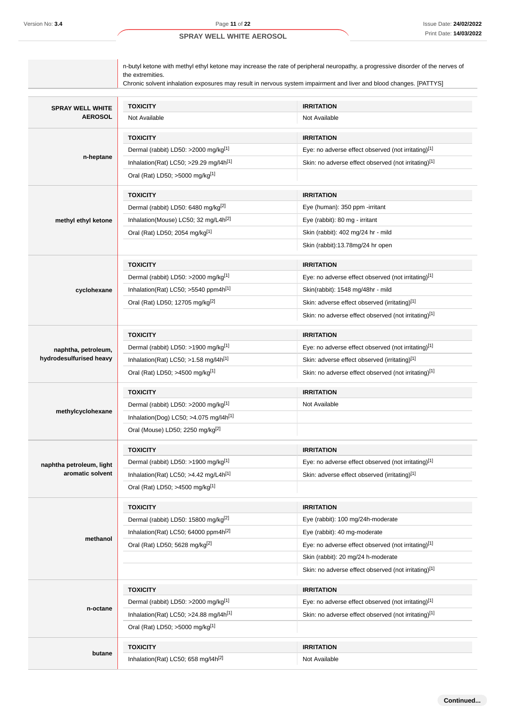| Version No: 3.4                           | Page 11 of 22                                                                                                                                                                                                                                                             | <b>Issue Date: 24/02/202</b>                         |  |
|-------------------------------------------|---------------------------------------------------------------------------------------------------------------------------------------------------------------------------------------------------------------------------------------------------------------------------|------------------------------------------------------|--|
|                                           | <b>SPRAY WELL WHITE AEROSOL</b>                                                                                                                                                                                                                                           | Print Date: 14/03/202                                |  |
|                                           | n-butyl ketone with methyl ethyl ketone may increase the rate of peripheral neuropathy, a progressive disorder of the nerves of<br>the extremities.<br>Chronic solvent inhalation exposures may result in nervous system impairment and liver and blood changes. [PATTYS] |                                                      |  |
|                                           |                                                                                                                                                                                                                                                                           |                                                      |  |
| <b>SPRAY WELL WHITE</b><br><b>AEROSOL</b> | <b>TOXICITY</b><br>Not Available                                                                                                                                                                                                                                          | <b>IRRITATION</b><br>Not Available                   |  |
|                                           | <b>TOXICITY</b>                                                                                                                                                                                                                                                           | <b>IRRITATION</b>                                    |  |
|                                           | Dermal (rabbit) LD50: >2000 mg/kg[1]                                                                                                                                                                                                                                      | Eye: no adverse effect observed (not irritating)[1]  |  |
| n-heptane                                 | Inhalation(Rat) LC50; >29.29 mg/l4h <sup>[1]</sup>                                                                                                                                                                                                                        | Skin: no adverse effect observed (not irritating)[1] |  |
|                                           | Oral (Rat) LD50; >5000 mg/kg[1]                                                                                                                                                                                                                                           |                                                      |  |
|                                           | <b>TOXICITY</b>                                                                                                                                                                                                                                                           | <b>IRRITATION</b>                                    |  |
|                                           | Dermal (rabbit) LD50: 6480 mg/kg <sup>[2]</sup>                                                                                                                                                                                                                           | Eye (human): 350 ppm -irritant                       |  |
| methyl ethyl ketone                       | Inhalation(Mouse) LC50; 32 mg/L4h <sup>[2]</sup>                                                                                                                                                                                                                          | Eye (rabbit): 80 mg - irritant                       |  |
|                                           | Oral (Rat) LD50; 2054 mg/kg[1]                                                                                                                                                                                                                                            | Skin (rabbit): 402 mg/24 hr - mild                   |  |
|                                           |                                                                                                                                                                                                                                                                           | Skin (rabbit):13.78mg/24 hr open                     |  |
|                                           | <b>TOXICITY</b>                                                                                                                                                                                                                                                           | <b>IRRITATION</b>                                    |  |
|                                           | Dermal (rabbit) LD50: >2000 mg/kg[1]                                                                                                                                                                                                                                      | Eye: no adverse effect observed (not irritating)[1]  |  |
| cyclohexane                               | Inhalation(Rat) LC50; $>5540$ ppm4h <sup>[1]</sup>                                                                                                                                                                                                                        | Skin(rabbit): 1548 mg/48hr - mild                    |  |
|                                           | Oral (Rat) LD50; 12705 mg/kg <sup>[2]</sup>                                                                                                                                                                                                                               | Skin: adverse effect observed (irritating)[1]        |  |
|                                           |                                                                                                                                                                                                                                                                           | Skin: no adverse effect observed (not irritating)[1] |  |
| naphtha, petroleum,                       | <b>TOXICITY</b>                                                                                                                                                                                                                                                           | <b>IRRITATION</b>                                    |  |
|                                           | Dermal (rabbit) LD50: >1900 mg/kg[1]                                                                                                                                                                                                                                      | Eye: no adverse effect observed (not irritating)[1]  |  |
| hydrodesulfurised heavy                   | Inhalation(Rat) LC50; $>1.58$ mg/l4h <sup>[1]</sup>                                                                                                                                                                                                                       | Skin: adverse effect observed (irritating)[1]        |  |
|                                           | Oral (Rat) LD50; >4500 mg/kg <sup>[1]</sup>                                                                                                                                                                                                                               | Skin: no adverse effect observed (not irritating)[1] |  |
|                                           | <b>TOXICITY</b>                                                                                                                                                                                                                                                           | <b>IRRITATION</b>                                    |  |
| methylcyclohexane                         | Dermal (rabbit) LD50: >2000 mg/kg <sup>[1]</sup>                                                                                                                                                                                                                          | Not Available                                        |  |
|                                           | Inhalation(Dog) LC50; >4.075 mg/l4h <sup>[1]</sup>                                                                                                                                                                                                                        |                                                      |  |
|                                           | Oral (Mouse) LD50; 2250 mg/kg <sup>[2]</sup>                                                                                                                                                                                                                              |                                                      |  |
|                                           | <b>TOXICITY</b>                                                                                                                                                                                                                                                           | <b>IRRITATION</b>                                    |  |
| naphtha petroleum, light                  | Dermal (rabbit) LD50: >1900 mg/kg[1]                                                                                                                                                                                                                                      | Eye: no adverse effect observed (not irritating)[1]  |  |
| aromatic solvent                          | Inhalation(Rat) LC50; $>4.42$ mg/L4h <sup>[1]</sup>                                                                                                                                                                                                                       | Skin: adverse effect observed (irritating)[1]        |  |
|                                           | Oral (Rat) LD50; >4500 mg/kg[1]                                                                                                                                                                                                                                           |                                                      |  |
|                                           | <b>TOXICITY</b>                                                                                                                                                                                                                                                           | <b>IRRITATION</b>                                    |  |
|                                           | Dermal (rabbit) LD50: 15800 mg/kg <sup>[2]</sup>                                                                                                                                                                                                                          | Eye (rabbit): 100 mg/24h-moderate                    |  |
| methanol                                  | Inhalation(Rat) LC50; 64000 ppm4h <sup>[2]</sup>                                                                                                                                                                                                                          | Eye (rabbit): 40 mg-moderate                         |  |
|                                           | Oral (Rat) LD50; 5628 mg/kg <sup>[2]</sup>                                                                                                                                                                                                                                | Eye: no adverse effect observed (not irritating)[1]  |  |
|                                           |                                                                                                                                                                                                                                                                           | Skin (rabbit): 20 mg/24 h-moderate                   |  |
|                                           |                                                                                                                                                                                                                                                                           | Skin: no adverse effect observed (not irritating)[1] |  |
|                                           | <b>TOXICITY</b>                                                                                                                                                                                                                                                           | <b>IRRITATION</b>                                    |  |
| n-octane                                  | Dermal (rabbit) LD50: >2000 mg/kg[1]                                                                                                                                                                                                                                      | Eye: no adverse effect observed (not irritating)[1]  |  |
|                                           | Inhalation(Rat) LC50; >24.88 mg/l4h <sup>[1]</sup>                                                                                                                                                                                                                        | Skin: no adverse effect observed (not irritating)[1] |  |
|                                           | Oral (Rat) LD50; >5000 mg/kg[1]                                                                                                                                                                                                                                           |                                                      |  |
| butane                                    | <b>TOXICITY</b>                                                                                                                                                                                                                                                           | <b>IRRITATION</b>                                    |  |
|                                           | Inhalation(Rat) LC50; 658 mg/l4h <sup>[2]</sup>                                                                                                                                                                                                                           | Not Available                                        |  |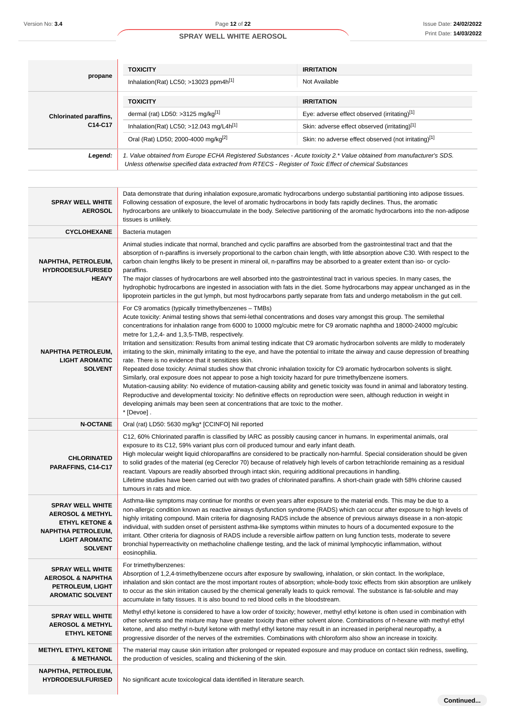|                                                                                                                                                             | <b>TOXICITY</b>                                                                                                                                                                                                                                                                                                                                                                                                                                                                                                                                                                                                                                                                                                                                                                                                                                                                                                                                                                                                                                                                                                                                                                                                                                                                                                       | <b>IRRITATION</b>                                    |  |
|-------------------------------------------------------------------------------------------------------------------------------------------------------------|-----------------------------------------------------------------------------------------------------------------------------------------------------------------------------------------------------------------------------------------------------------------------------------------------------------------------------------------------------------------------------------------------------------------------------------------------------------------------------------------------------------------------------------------------------------------------------------------------------------------------------------------------------------------------------------------------------------------------------------------------------------------------------------------------------------------------------------------------------------------------------------------------------------------------------------------------------------------------------------------------------------------------------------------------------------------------------------------------------------------------------------------------------------------------------------------------------------------------------------------------------------------------------------------------------------------------|------------------------------------------------------|--|
| propane                                                                                                                                                     | Inhalation(Rat) LC50; >13023 ppm4h[1]                                                                                                                                                                                                                                                                                                                                                                                                                                                                                                                                                                                                                                                                                                                                                                                                                                                                                                                                                                                                                                                                                                                                                                                                                                                                                 | Not Available                                        |  |
|                                                                                                                                                             | <b>TOXICITY</b>                                                                                                                                                                                                                                                                                                                                                                                                                                                                                                                                                                                                                                                                                                                                                                                                                                                                                                                                                                                                                                                                                                                                                                                                                                                                                                       | <b>IRRITATION</b>                                    |  |
| <b>Chlorinated paraffins,</b>                                                                                                                               | dermal (rat) LD50: >3125 mg/kg[1]                                                                                                                                                                                                                                                                                                                                                                                                                                                                                                                                                                                                                                                                                                                                                                                                                                                                                                                                                                                                                                                                                                                                                                                                                                                                                     | Eye: adverse effect observed (irritating)[1]         |  |
| C14-C17                                                                                                                                                     | Inhalation(Rat) LC50; >12.043 mg/L4 $h[1]$                                                                                                                                                                                                                                                                                                                                                                                                                                                                                                                                                                                                                                                                                                                                                                                                                                                                                                                                                                                                                                                                                                                                                                                                                                                                            | Skin: adverse effect observed (irritating)[1]        |  |
|                                                                                                                                                             | Oral (Rat) LD50; 2000-4000 mg/kg <sup>[2]</sup>                                                                                                                                                                                                                                                                                                                                                                                                                                                                                                                                                                                                                                                                                                                                                                                                                                                                                                                                                                                                                                                                                                                                                                                                                                                                       | Skin: no adverse effect observed (not irritating)[1] |  |
| Legend:                                                                                                                                                     | 1. Value obtained from Europe ECHA Registered Substances - Acute toxicity 2.* Value obtained from manufacturer's SDS.<br>Unless otherwise specified data extracted from RTECS - Register of Toxic Effect of chemical Substances                                                                                                                                                                                                                                                                                                                                                                                                                                                                                                                                                                                                                                                                                                                                                                                                                                                                                                                                                                                                                                                                                       |                                                      |  |
|                                                                                                                                                             |                                                                                                                                                                                                                                                                                                                                                                                                                                                                                                                                                                                                                                                                                                                                                                                                                                                                                                                                                                                                                                                                                                                                                                                                                                                                                                                       |                                                      |  |
| <b>SPRAY WELL WHITE</b><br><b>AEROSOL</b>                                                                                                                   | Data demonstrate that during inhalation exposure, aromatic hydrocarbons undergo substantial partitioning into adipose tissues.<br>Following cessation of exposure, the level of aromatic hydrocarbons in body fats rapidly declines. Thus, the aromatic<br>hydrocarbons are unlikely to bioaccumulate in the body. Selective partitioning of the aromatic hydrocarbons into the non-adipose<br>tissues is unlikely.                                                                                                                                                                                                                                                                                                                                                                                                                                                                                                                                                                                                                                                                                                                                                                                                                                                                                                   |                                                      |  |
| <b>CYCLOHEXANE</b>                                                                                                                                          | Bacteria mutagen                                                                                                                                                                                                                                                                                                                                                                                                                                                                                                                                                                                                                                                                                                                                                                                                                                                                                                                                                                                                                                                                                                                                                                                                                                                                                                      |                                                      |  |
| NAPHTHA, PETROLEUM,<br><b>HYDRODESULFURISED</b><br><b>HEAVY</b>                                                                                             | Animal studies indicate that normal, branched and cyclic paraffins are absorbed from the gastrointestinal tract and that the<br>absorption of n-paraffins is inversely proportional to the carbon chain length, with little absorption above C30. With respect to the<br>carbon chain lengths likely to be present in mineral oil, n-paraffins may be absorbed to a greater extent than iso- or cyclo-<br>paraffins.<br>The major classes of hydrocarbons are well absorbed into the gastrointestinal tract in various species. In many cases, the<br>hydrophobic hydrocarbons are ingested in association with fats in the diet. Some hydrocarbons may appear unchanged as in the<br>lipoprotein particles in the gut lymph, but most hydrocarbons partly separate from fats and undergo metabolism in the gut cell.                                                                                                                                                                                                                                                                                                                                                                                                                                                                                                 |                                                      |  |
| <b>NAPHTHA PETROLEUM,</b><br><b>LIGHT AROMATIC</b><br><b>SOLVENT</b>                                                                                        | For C9 aromatics (typically trimethylbenzenes - TMBs)<br>Acute toxicity: Animal testing shows that semi-lethal concentrations and doses vary amongst this group. The semilethal<br>concentrations for inhalation range from 6000 to 10000 mg/cubic metre for C9 aromatic naphtha and 18000-24000 mg/cubic<br>metre for 1,2,4- and 1,3,5-TMB, respectively.<br>Irritation and sensitization: Results from animal testing indicate that C9 aromatic hydrocarbon solvents are mildly to moderately<br>irritating to the skin, minimally irritating to the eye, and have the potential to irritate the airway and cause depression of breathing<br>rate. There is no evidence that it sensitizes skin.<br>Repeated dose toxicity: Animal studies show that chronic inhalation toxicity for C9 aromatic hydrocarbon solvents is slight.<br>Similarly, oral exposure does not appear to pose a high toxicity hazard for pure trimethylbenzene isomers.<br>Mutation-causing ability: No evidence of mutation-causing ability and genetic toxicity was found in animal and laboratory testing.<br>Reproductive and developmental toxicity: No definitive effects on reproduction were seen, although reduction in weight in<br>developing animals may been seen at concentrations that are toxic to the mother.<br>* [Devoe]. |                                                      |  |
| <b>N-OCTANE</b>                                                                                                                                             | Oral (rat) LD50: 5630 mg/kg* [CCINFO] Nil reported                                                                                                                                                                                                                                                                                                                                                                                                                                                                                                                                                                                                                                                                                                                                                                                                                                                                                                                                                                                                                                                                                                                                                                                                                                                                    |                                                      |  |
| <b>CHLORINATED</b><br>PARAFFINS, C14-C17                                                                                                                    | C12, 60% Chlorinated paraffin is classified by IARC as possibly causing cancer in humans. In experimental animals, oral<br>exposure to its C12, 59% variant plus corn oil produced tumour and early infant death.<br>High molecular weight liquid chloroparaffins are considered to be practically non-harmful. Special consideration should be given<br>to solid grades of the material (eg Cereclor 70) because of relatively high levels of carbon tetrachloride remaining as a residual<br>reactant. Vapours are readily absorbed through intact skin, requiring additional precautions in handling.<br>Lifetime studies have been carried out with two grades of chlorinated paraffins. A short-chain grade with 58% chlorine caused<br>tumours in rats and mice.                                                                                                                                                                                                                                                                                                                                                                                                                                                                                                                                                |                                                      |  |
| <b>SPRAY WELL WHITE</b><br><b>AEROSOL &amp; METHYL</b><br><b>ETHYL KETONE &amp;</b><br><b>NAPHTHA PETROLEUM,</b><br><b>LIGHT AROMATIC</b><br><b>SOLVENT</b> | Asthma-like symptoms may continue for months or even years after exposure to the material ends. This may be due to a<br>non-allergic condition known as reactive airways dysfunction syndrome (RADS) which can occur after exposure to high levels of<br>highly irritating compound. Main criteria for diagnosing RADS include the absence of previous airways disease in a non-atopic<br>individual, with sudden onset of persistent asthma-like symptoms within minutes to hours of a documented exposure to the<br>irritant. Other criteria for diagnosis of RADS include a reversible airflow pattern on lung function tests, moderate to severe<br>bronchial hyperreactivity on methacholine challenge testing, and the lack of minimal lymphocytic inflammation, without<br>eosinophilia.                                                                                                                                                                                                                                                                                                                                                                                                                                                                                                                       |                                                      |  |
| <b>SPRAY WELL WHITE</b><br><b>AEROSOL &amp; NAPHTHA</b><br>PETROLEUM, LIGHT<br><b>AROMATIC SOLVENT</b>                                                      | For trimethylbenzenes:<br>Absorption of 1,2,4-trimethylbenzene occurs after exposure by swallowing, inhalation, or skin contact. In the workplace,<br>inhalation and skin contact are the most important routes of absorption; whole-body toxic effects from skin absorption are unlikely<br>to occur as the skin irritation caused by the chemical generally leads to quick removal. The substance is fat-soluble and may<br>accumulate in fatty tissues. It is also bound to red blood cells in the bloodstream.                                                                                                                                                                                                                                                                                                                                                                                                                                                                                                                                                                                                                                                                                                                                                                                                    |                                                      |  |
| <b>SPRAY WELL WHITE</b><br><b>AEROSOL &amp; METHYL</b><br><b>ETHYL KETONE</b>                                                                               | Methyl ethyl ketone is considered to have a low order of toxicity; however, methyl ethyl ketone is often used in combination with<br>other solvents and the mixture may have greater toxicity than either solvent alone. Combinations of n-hexane with methyl ethyl<br>ketone, and also methyl n-butyl ketone with methyl ethyl ketone may result in an increased in peripheral neuropathy, a<br>progressive disorder of the nerves of the extremities. Combinations with chloroform also show an increase in toxicity.                                                                                                                                                                                                                                                                                                                                                                                                                                                                                                                                                                                                                                                                                                                                                                                               |                                                      |  |
| <b>METHYL ETHYL KETONE</b><br><b>&amp; METHANOL</b>                                                                                                         | The material may cause skin irritation after prolonged or repeated exposure and may produce on contact skin redness, swelling,<br>the production of vesicles, scaling and thickening of the skin.                                                                                                                                                                                                                                                                                                                                                                                                                                                                                                                                                                                                                                                                                                                                                                                                                                                                                                                                                                                                                                                                                                                     |                                                      |  |
| NAPHTHA, PETROLEUM,<br><b>HYDRODESULFURISED</b>                                                                                                             | No significant acute toxicological data identified in literature search.                                                                                                                                                                                                                                                                                                                                                                                                                                                                                                                                                                                                                                                                                                                                                                                                                                                                                                                                                                                                                                                                                                                                                                                                                                              |                                                      |  |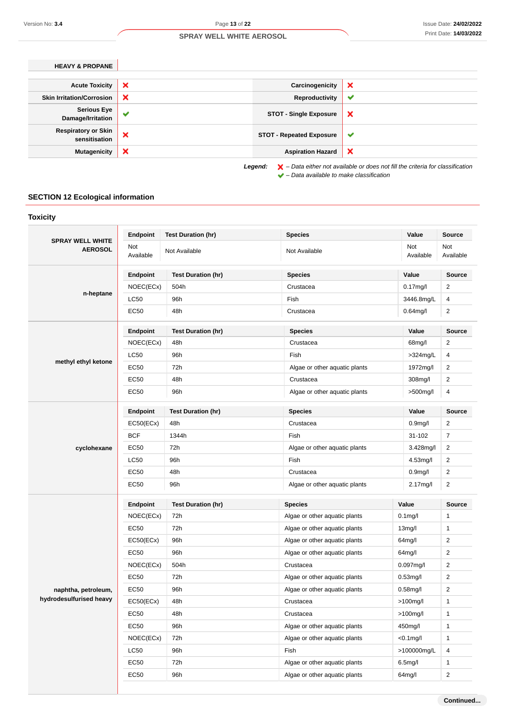**Continued...**

### **SPRAY WELL WHITE AEROSOL**

| ×<br><b>Acute Toxicity</b>                              | Carcinogenicity                 | × |
|---------------------------------------------------------|---------------------------------|---|
| ×<br><b>Skin Irritation/Corrosion</b>                   | Reproductivity                  | ✔ |
| <b>Serious Eye</b><br>$\checkmark$<br>Damage/Irritation | <b>STOT - Single Exposure</b>   | × |
| <b>Respiratory or Skin</b><br>×<br>sensitisation        | <b>STOT - Repeated Exposure</b> | v |
| ×<br><b>Mutagenicity</b>                                | <b>Aspiration Hazard</b>        | × |

– Data available to make classification

### **SECTION 12 Ecological information**

| <b>SPRAY WELL WHITE</b> | Endpoint         | <b>Test Duration (hr)</b> | <b>Species</b>                | Value                | <b>Source</b>    |
|-------------------------|------------------|---------------------------|-------------------------------|----------------------|------------------|
| <b>AEROSOL</b>          | Not<br>Available | Not Available             | Not Available                 | Not<br>Available     | Not<br>Available |
|                         | Endpoint         | <b>Test Duration (hr)</b> | <b>Species</b>                | Value                | <b>Source</b>    |
|                         | NOEC(ECx)        | 504h                      | Crustacea                     | $0.17$ mg/l          | $\overline{c}$   |
| n-heptane               | <b>LC50</b>      | 96h                       | Fish                          | 3446.8mg/L           | 4                |
|                         | EC50             | 48h                       | Crustacea                     | $0.64$ mg/l          | $\overline{2}$   |
|                         | Endpoint         | <b>Test Duration (hr)</b> | <b>Species</b>                | Value                | <b>Source</b>    |
|                         | NOEC(ECx)        | 48h                       | Crustacea                     | 68mg/l               | $\overline{2}$   |
|                         | <b>LC50</b>      | 96h                       | Fish                          | $>324$ mg/L          | 4                |
| methyl ethyl ketone     | EC50             | 72h                       | Algae or other aquatic plants | 1972mg/l             | 2                |
|                         | EC50             | 48h                       | Crustacea                     | 308mg/l              | 2                |
|                         | EC50             | 96h                       | Algae or other aquatic plants | >500mg/l             | 4                |
|                         | Endpoint         | <b>Test Duration (hr)</b> | <b>Species</b>                | Value                | <b>Source</b>    |
|                         | EC50(ECx)        | 48h                       | Crustacea                     | 0.9 <sub>mg</sub> /l | 2                |
|                         | <b>BCF</b>       | 1344h                     | Fish                          | 31-102               | $\overline{7}$   |
| cyclohexane             | EC50             | 72h                       | Algae or other aquatic plants | $3.428$ mg/l         | $\overline{2}$   |
|                         | <b>LC50</b>      | 96h                       | Fish                          | 4.53mg/l             | $\overline{2}$   |
|                         | EC50             | 48h                       | Crustacea                     | 0.9 <sub>mg</sub> /l | $\overline{2}$   |
|                         | EC50             | 96h                       | Algae or other aquatic plants | 2.17mg/l             | $\overline{2}$   |
|                         | Endpoint         | <b>Test Duration (hr)</b> | <b>Species</b>                | Value                | Source           |
|                         | NOEC(ECx)        | 72h                       | Algae or other aquatic plants | $0.1$ mg/l           | 1                |
|                         | EC50             | 72h                       | Algae or other aquatic plants | 13 <sub>mg</sub> /l  | $\mathbf{1}$     |
|                         | EC50(ECx)        | 96h                       | Algae or other aquatic plants | 64mg/l               | $\overline{2}$   |
|                         | <b>EC50</b>      | 96h                       | Algae or other aquatic plants | $64$ mg/l            | $\overline{2}$   |
|                         | NOEC(ECx)        | 504h                      | Crustacea                     | $0.097$ mg/l         | $\overline{2}$   |
|                         | EC50             | 72h                       | Algae or other aquatic plants | $0.53$ mg/l          | $\overline{2}$   |
| naphtha, petroleum,     | EC50             | 96h                       | Algae or other aquatic plants | $0.58$ mg/l          | $\overline{2}$   |
| hydrodesulfurised heavy | EC50(ECx)        | 48h                       | Crustacea                     | $>100$ mg/l          | $\mathbf{1}$     |
|                         | <b>EC50</b>      | 48h                       | Crustacea                     | $>100$ mg/l          | $\mathbf{1}$     |
|                         | <b>EC50</b>      | 96h                       | Algae or other aquatic plants | 450mg/l              | $\mathbf{1}$     |
|                         | NOEC(ECx)        | 72h                       | Algae or other aquatic plants | $< 0.1$ mg/l         | $\mathbf{1}$     |
|                         | <b>LC50</b>      | 96h                       | Fish                          | >100000mg/L          | 4                |
|                         | <b>EC50</b>      | 72h                       | Algae or other aquatic plants | $6.5$ mg/l           | $\mathbf{1}$     |
|                         | EC50             |                           | Algae or other aquatic plants |                      | $\mathbf{2}$     |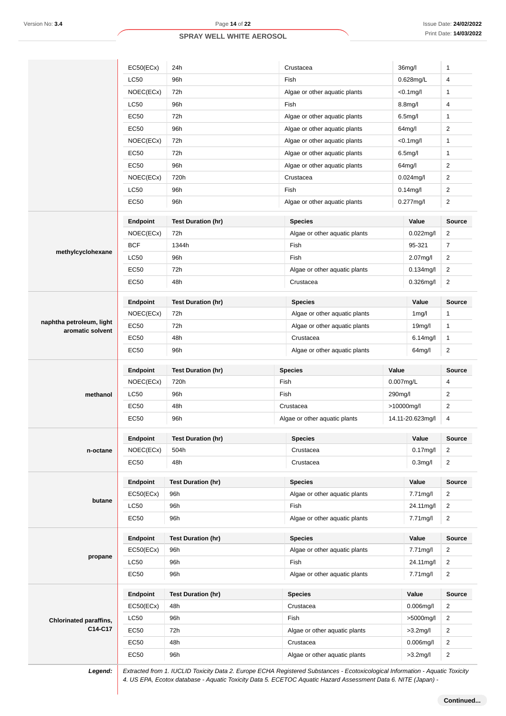|                               | EC50(ECx)       | 24h                       | Crustacea                                  | 36mg/l               | 1              |
|-------------------------------|-----------------|---------------------------|--------------------------------------------|----------------------|----------------|
|                               | LC50            | 96h                       | Fish                                       | $0.628$ mg/L         | 4              |
|                               | NOEC(ECx)       | 72h                       | Algae or other aquatic plants              | $< 0.1$ mg/l         | $\mathbf{1}$   |
|                               | <b>LC50</b>     | 96h                       | Fish                                       | 8.8 <sub>mg</sub> /l | 4              |
|                               | <b>EC50</b>     | 72h                       | Algae or other aquatic plants              | 6.5 <sub>mg</sub> /l | 1              |
|                               | <b>EC50</b>     | 96h                       | Algae or other aquatic plants              | 64mg/l               | $\overline{2}$ |
|                               | NOEC(ECx)       | 72h                       | Algae or other aquatic plants              | $<$ 0.1 $mg$ /l      | $\mathbf{1}$   |
|                               | <b>EC50</b>     | 72h                       | Algae or other aquatic plants              | $6.5$ mg/l           | $\mathbf{1}$   |
|                               | <b>EC50</b>     | 96h                       | Algae or other aquatic plants              | 64mg/l               | $\overline{2}$ |
|                               | NOEC(ECx)       | 720h                      | Crustacea                                  | $0.024$ mg/l         | 2              |
|                               | <b>LC50</b>     | 96h                       | Fish                                       | $0.14$ mg/l          | 2              |
|                               | EC50            | 96h                       | Algae or other aquatic plants              | $0.277$ mg/l         | $\overline{2}$ |
|                               |                 |                           |                                            |                      |                |
|                               | <b>Endpoint</b> | <b>Test Duration (hr)</b> | <b>Species</b>                             | Value                | <b>Source</b>  |
|                               | NOEC(ECx)       | 72h                       | Algae or other aquatic plants              | $0.022$ mg/l         | 2              |
| methylcyclohexane             | <b>BCF</b>      | 1344h                     | Fish                                       | 95-321               | $\overline{7}$ |
|                               | LC50            | 96h                       | Fish                                       | 2.07mg/l             | $\overline{2}$ |
|                               | <b>EC50</b>     | 72h                       | Algae or other aquatic plants              | 0.134mg/l            | 2              |
|                               | <b>EC50</b>     | 48h                       | Crustacea                                  | 0.326mg/l            | $\overline{2}$ |
|                               | <b>Endpoint</b> | <b>Test Duration (hr)</b> | <b>Species</b>                             | Value                | <b>Source</b>  |
|                               | NOEC(ECx)       | 72h                       | Algae or other aquatic plants              | 1mg/l                | 1              |
| naphtha petroleum, light      | <b>EC50</b>     | 72h                       | Algae or other aquatic plants              | 19 <sub>mg</sub> /l  | $\mathbf{1}$   |
| aromatic solvent              | <b>EC50</b>     | 48h                       | Crustacea                                  | $6.14$ mg/l          | $\mathbf{1}$   |
|                               | EC50            | 96h                       | Algae or other aquatic plants              | 64mg/l               | 2              |
|                               | Endpoint        | <b>Test Duration (hr)</b> | <b>Species</b>                             | Value                | <b>Source</b>  |
|                               | NOEC(ECx)       | 720h                      | Fish                                       | $0.007$ mg/L         | 4              |
| methanol                      | <b>LC50</b>     | 96h                       | Fish                                       | 290mg/l              | $\overline{2}$ |
|                               | <b>EC50</b>     | 48h                       | Crustacea                                  | >10000mg/l           | $\overline{2}$ |
|                               | <b>EC50</b>     | 96h                       | Algae or other aquatic plants              | 14.11-20.623mg/l     | 4              |
|                               |                 |                           |                                            |                      |                |
|                               | <b>Endpoint</b> | <b>Test Duration (hr)</b> | <b>Species</b>                             | Value                | Source         |
| n-octane                      | NOEC(ECx)       | 504h                      | Crustacea                                  | $0.17$ mg/l          | $\overline{2}$ |
|                               | EC50            | 48h                       | Crustacea                                  | 0.3 <sub>mq</sub>    | $\overline{2}$ |
|                               | Endpoint        | <b>Test Duration (hr)</b> | <b>Species</b>                             | Value                | Source         |
|                               | EC50(ECx)       | 96h                       | Algae or other aquatic plants              | 7.71mg/l             | 2              |
| butane                        | <b>LC50</b>     | 96h                       | Fish                                       | 24.11mg/l            | $\overline{2}$ |
|                               | <b>EC50</b>     | 96h                       | Algae or other aquatic plants              | 7.71mg/l             | $\mathbf{2}$   |
|                               | Endpoint        | <b>Test Duration (hr)</b> | <b>Species</b>                             | Value                | <b>Source</b>  |
|                               | EC50(ECx)       | 96h                       | Algae or other aquatic plants              | 7.71mg/l             | 2              |
| propane                       | <b>LC50</b>     | 96h                       | Fish                                       | 24.11mg/l            | $\overline{2}$ |
|                               | EC50            | 96h                       | Algae or other aquatic plants              | 7.71mg/l             | $\overline{2}$ |
|                               |                 |                           |                                            |                      |                |
|                               | Endpoint        | <b>Test Duration (hr)</b> | <b>Species</b>                             | Value                | Source         |
|                               | EC50(ECx)       | 48h                       | Crustacea                                  | $0.006$ mg/l         | 2              |
| <b>Chlorinated paraffins,</b> | <b>LC50</b>     | 96h                       | Fish                                       | >5000mg/l            | $\overline{2}$ |
| C14-C17                       | EC50            | 72h                       | Algae or other aquatic plants              | $>3.2$ mg/l          | $\overline{2}$ |
|                               | EC50            | 48h                       | Crustacea<br>Algae or other aquatic plants | $0.006$ mg/l         | $\overline{2}$ |
|                               | EC50            | 96h                       |                                            | $>3.2$ mg/l          | $\overline{2}$ |

**Continued...**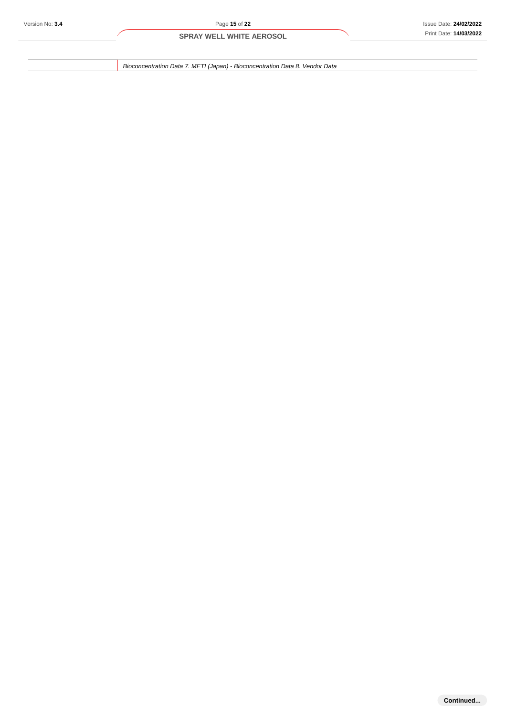Bioconcentration Data 7. METI (Japan) - Bioconcentration Data 8. Vendor Data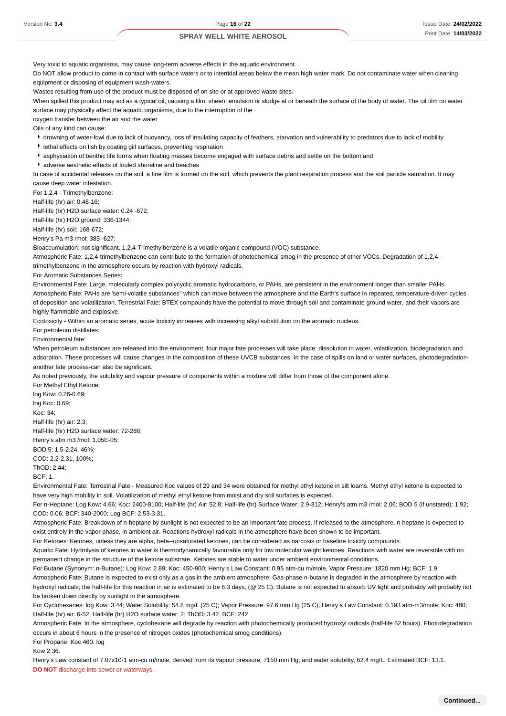Very toxic to aquatic organisms, may cause long-term adverse effects in the aquatic environment.

Do NOT allow product to come in contact with surface waters or to intertidal areas below the mean high water mark. Do not contaminate water when cleaning equipment or disposing of equipment wash-waters.

Wastes resulting from use of the product must be disposed of on site or at approved waste sites.

When spilled this product may act as a typical oil, causing a film, sheen, emulsion or sludge at or beneath the surface of the body of water. The oil film on water surface may physically affect the aquatic organisms, due to the interruption of the

oxygen transfer between the air and the water

Oils of any kind can cause:

- \* drowning of water-fowl due to lack of buoyancy, loss of insulating capacity of feathers, starvation and vulnerability to predators due to lack of mobility
- lethal effects on fish by coating gill surfaces, preventing respiration
- asphyxiation of benthic life forms when floating masses become engaged with surface debris and settle on the bottom and
- adverse aesthetic effects of fouled shoreline and beaches

In case of accidental releases on the soil, a fine film is formed on the soil, which prevents the plant respiration process and the soil particle saturation. It may cause deep water infestation.

For 1,2,4 - Trimethylbenzene:

Half-life (hr) air: 0.48-16;

Half-life (hr) H2O surface water: 0.24 -672;

Half-life (hr) H2O ground: 336-1344;

Half-life (hr) soil: 168-672;

Henry's Pa m3 /mol: 385 -627;

Bioaccumulation: not significant. 1,2,4-Trimethylbenzene is a volatile organic compound (VOC) substance.

Atmospheric Fate: 1,2,4-trimethylbenzene can contribute to the formation of photochemical smog in the presence of other VOCs. Degradation of 1,2,4 trimethylbenzene in the atmosphere occurs by reaction with hydroxyl radicals.

For Aromatic Substances Series:

Environmental Fate: Large, molecularly complex polycyclic aromatic hydrocarbons, or PAHs, are persistent in the environment longer than smaller PAHs. Atmospheric Fate: PAHs are 'semi-volatile substances" which can move between the atmosphere and the Earth's surface in repeated, temperature-driven cycles of deposition and volatilization. Terrestrial Fate: BTEX compounds have the potential to move through soil and contaminate ground water, and their vapors are highly flammable and explosive.

Ecotoxicity - Within an aromatic series, acute toxicity increases with increasing alkyl substitution on the aromatic nucleus.

For petroleum distillates:

Environmental fate:

When petroleum substances are released into the environment, four major fate processes will take place: dissolution in water, volatilization, biodegradation and adsorption. These processes will cause changes in the composition of these UVCB substances. In the case of spills on land or water surfaces, photodegradationanother fate process-can also be significant.

As noted previously, the solubility and vapour pressure of components within a mixture will differ from those of the component alone.

For Methyl Ethyl Ketone: log Kow: 0.26-0.69; log Koc: 0.69; Koc: 34; Half-life (hr) air: 2.3; Half-life (hr) H2O surface water: 72-288; Henry's atm m3 /mol: 1.05E-05; BOD 5: 1.5-2.24, 46%; COD: 2.2-2.31, 100%; ThOD: 2.44;

 $RCF: 1$ 

Environmental Fate: Terrestrial Fate - Measured Koc values of 29 and 34 were obtained for methyl ethyl ketone in silt loams. Methyl ethyl ketone is expected to have very high mobility in soil. Volatilization of methyl ethyl ketone from moist and dry soil surfaces is expected.

For n-Heptane: Log Kow: 4.66; Koc: 2400-8100; Half-life (hr) Air: 52.8; Half-life (hr) Surface Water: 2.9-312; Henry's atm m3 /mol: 2.06; BOD 5 (if unstated): 1.92; COD: 0.06; BCF: 340-2000; Log BCF: 2.53-3.31.

Atmospheric Fate: Breakdown of n-heptane by sunlight is not expected to be an important fate process. If released to the atmosphere, n-heptane is expected to exist entirely in the vapor phase, in ambient air. Reactions hydroxyl radicals in the atmosphere have been shown to be important.

For Ketones: Ketones, unless they are alpha, beta--unsaturated ketones, can be considered as narcosis or baseline toxicity compounds.

Aquatic Fate: Hydrolysis of ketones in water is thermodynamically favourable only for low molecular weight ketones. Reactions with water are reversible with no permanent change in the structure of the ketone substrate. Ketones are stable to water under ambient environmental conditions.

For Butane (Synonym: n-Butane): Log Kow: 2.89; Koc: 450-900; Henry s Law Constant: 0.95 atm-cu m/mole, Vapor Pressure: 1820 mm Hg; BCF: 1.9.

Atmospheric Fate: Butane is expected to exist only as a gas in the ambient atmosphere. Gas-phase n-butane is degraded in the atmosphere by reaction with hydroxyl radicals; the half-life for this reaction in air is estimated to be 6.3 days, (@ 25 C). Butane is not expected to absorb UV light and probably will probably not be broken down directly by sunlight in the atmosphere.

For Cyclohexanes: log Kow: 3.44; Water Solubility: 54.8 mg/L (25 C); Vapor Pressure: 97.6 mm Hg (25 C); Henry s Law Constant: 0.193 atm-m3/mole; Koc: 480; Half-life (hr) air: 6-52; Half-life (hr) H2O surface water: 2; ThOD: 3.42. BCF: 242.

Atmospheric Fate: In the atmosphere, cyclohexane will degrade by reaction with photochemically produced hydroxyl radicals (half-life 52 hours). Photodegradation occurs in about 6 hours in the presence of nitrogen oxides (photochemical smog conditions).

For Propane: Koc 460. log

Kow 2.36.

Henry's Law constant of 7.07x10-1 atm-cu m/mole, derived from its vapour pressure, 7150 mm Hg, and water solubility, 62.4 mg/L. Estimated BCF: 13.1. **DO NOT** discharge into sewer or waterways.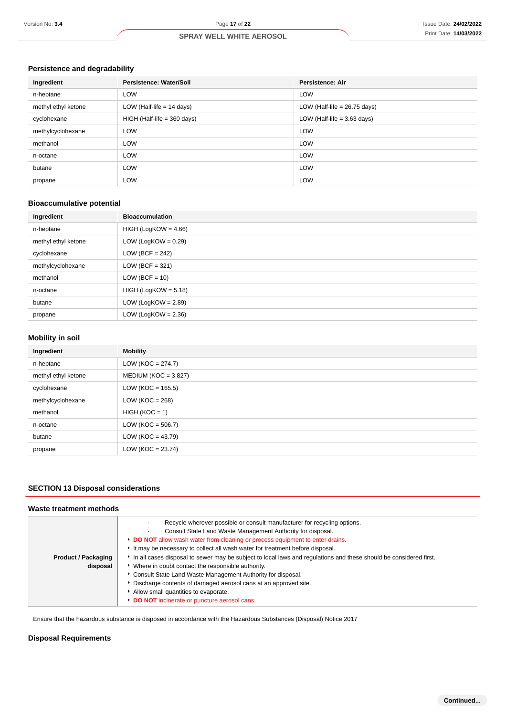### **Persistence and degradability**

| Ingredient          | Persistence: Water/Soil       | <b>Persistence: Air</b>        |
|---------------------|-------------------------------|--------------------------------|
| n-heptane           | <b>LOW</b>                    | <b>LOW</b>                     |
| methyl ethyl ketone | LOW (Half-life $= 14$ days)   | LOW (Half-life $= 26.75$ days) |
| cyclohexane         | $HIGH$ (Half-life = 360 days) | LOW (Half-life $=$ 3.63 days)  |
| methylcyclohexane   | <b>LOW</b>                    | <b>LOW</b>                     |
| methanol            | <b>LOW</b>                    | <b>LOW</b>                     |
| n-octane            | <b>LOW</b>                    | <b>LOW</b>                     |
| butane              | <b>LOW</b>                    | <b>LOW</b>                     |
| propane             | <b>LOW</b>                    | <b>LOW</b>                     |

### **Bioaccumulative potential**

| Ingredient          | <b>Bioaccumulation</b> |
|---------------------|------------------------|
| n-heptane           | $HIGH (LogKOW = 4.66)$ |
| methyl ethyl ketone | LOW (LogKOW = $0.29$ ) |
| cyclohexane         | LOW (BCF = $242$ )     |
| methylcyclohexane   | LOW (BCF = $321$ )     |
| methanol            | $LOW (BCF = 10)$       |
| n-octane            | $HIGH (LogKOW = 5.18)$ |
| butane              | LOW (LogKOW = $2.89$ ) |
| propane             | LOW (LogKOW = $2.36$ ) |

### **Mobility in soil**

| Ingredient          | <b>Mobility</b>          |
|---------------------|--------------------------|
| n-heptane           | LOW ( $KOC = 274.7$ )    |
| methyl ethyl ketone | MEDIUM ( $KOC = 3.827$ ) |
| cyclohexane         | LOW ( $KOC = 165.5$ )    |
| methylcyclohexane   | LOW ( $KOC = 268$ )      |
| methanol            | $HIGH (KOC = 1)$         |
| n-octane            | $LOW (KOC = 506.7)$      |
| butane              | LOW ( $KOC = 43.79$ )    |
| propane             | LOW ( $KOC = 23.74$ )    |

### **SECTION 13 Disposal considerations**

#### **Waste treatment methods**

|                            | Recycle wherever possible or consult manufacturer for recycling options.<br>Consult State Land Waste Management Authority for disposal.<br>DO NOT allow wash water from cleaning or process equipment to enter drains.<br>It may be necessary to collect all wash water for treatment before disposal. |
|----------------------------|--------------------------------------------------------------------------------------------------------------------------------------------------------------------------------------------------------------------------------------------------------------------------------------------------------|
| <b>Product / Packaging</b> | In all cases disposal to sewer may be subject to local laws and regulations and these should be considered first.                                                                                                                                                                                      |
| disposal                   | • Where in doubt contact the responsible authority.<br>• Consult State Land Waste Management Authority for disposal.                                                                                                                                                                                   |
|                            | Discharge contents of damaged aerosol cans at an approved site.<br>Allow small quantities to evaporate.                                                                                                                                                                                                |
|                            | <b>DO NOT</b> incinerate or puncture aerosol cans.                                                                                                                                                                                                                                                     |

Ensure that the hazardous substance is disposed in accordance with the Hazardous Substances (Disposal) Notice 2017

### **Disposal Requirements**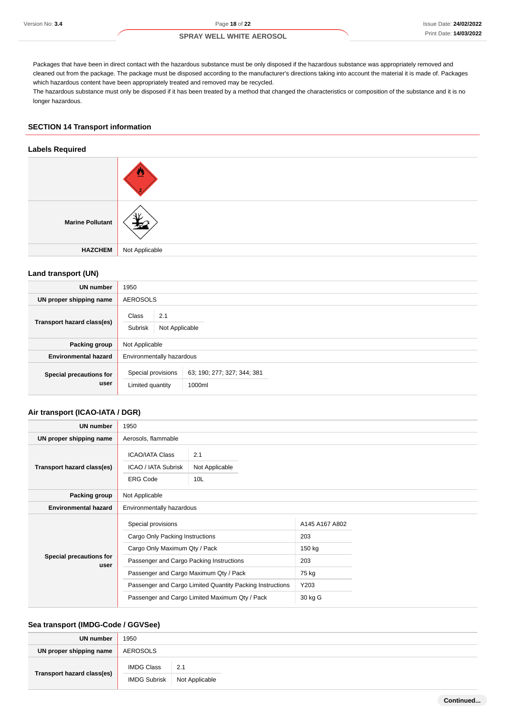Packages that have been in direct contact with the hazardous substance must be only disposed if the hazardous substance was appropriately removed and cleaned out from the package. The package must be disposed according to the manufacturer's directions taking into account the material it is made of. Packages which hazardous content have been appropriately treated and removed may be recycled.

The hazardous substance must only be disposed if it has been treated by a method that changed the characteristics or composition of the substance and it is no longer hazardous.

### **SECTION 14 Transport information**

#### **Labels Required**

| <b>Marine Pollutant</b> |                |
|-------------------------|----------------|
| <b>HAZCHEM</b>          | Not Applicable |

### **Land transport (UN)**

| <b>UN number</b>                | 1950                                      |                                       |  |  |
|---------------------------------|-------------------------------------------|---------------------------------------|--|--|
| UN proper shipping name         | <b>AEROSOLS</b>                           |                                       |  |  |
| Transport hazard class(es)      | Class<br>2.1<br>Subrisk<br>Not Applicable |                                       |  |  |
| Packing group                   | Not Applicable                            |                                       |  |  |
| <b>Environmental hazard</b>     | Environmentally hazardous                 |                                       |  |  |
| Special precautions for<br>user | Special provisions<br>Limited quantity    | 63, 190, 277, 327, 344, 381<br>1000ml |  |  |

#### **Air transport (ICAO-IATA / DGR)**

| <b>UN number</b>                | 1950                                                      |                |                |  |
|---------------------------------|-----------------------------------------------------------|----------------|----------------|--|
| UN proper shipping name         | Aerosols, flammable                                       |                |                |  |
|                                 | <b>ICAO/IATA Class</b>                                    | 2.1            |                |  |
| Transport hazard class(es)      | ICAO / IATA Subrisk                                       | Not Applicable |                |  |
|                                 | <b>ERG Code</b>                                           | 10L            |                |  |
| Packing group                   | Not Applicable                                            |                |                |  |
| <b>Environmental hazard</b>     | Environmentally hazardous                                 |                |                |  |
| Special precautions for<br>user | Special provisions                                        |                | A145 A167 A802 |  |
|                                 | Cargo Only Packing Instructions                           |                | 203            |  |
|                                 | Cargo Only Maximum Qty / Pack                             |                | 150 kg         |  |
|                                 | Passenger and Cargo Packing Instructions                  |                | 203            |  |
|                                 | Passenger and Cargo Maximum Qty / Pack                    |                | 75 kg          |  |
|                                 | Passenger and Cargo Limited Quantity Packing Instructions |                | Y203           |  |
|                                 | Passenger and Cargo Limited Maximum Qty / Pack            |                | 30 kg G        |  |

#### **Sea transport (IMDG-Code / GGVSee)**

| <b>UN number</b>           | 1950              |                               |  |
|----------------------------|-------------------|-------------------------------|--|
| UN proper shipping name    | AEROSOLS          |                               |  |
| Transport hazard class(es) | <b>IMDG Class</b> | 2.1                           |  |
|                            |                   | IMDG Subrisk   Not Applicable |  |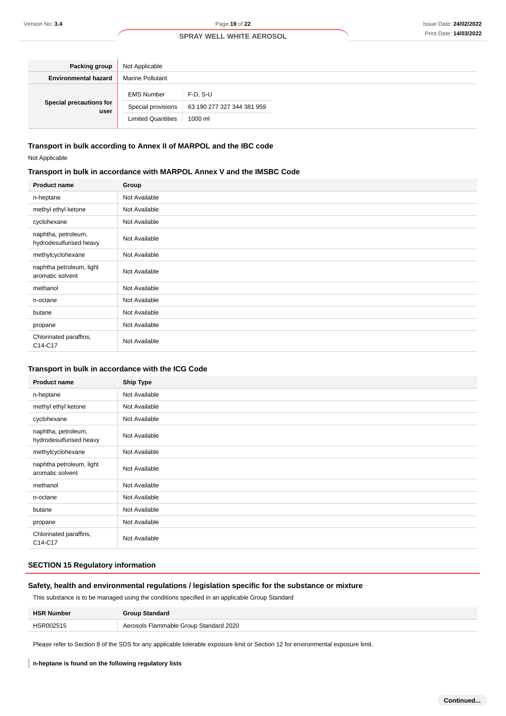| Packing group                   | Not Applicable            |                            |
|---------------------------------|---------------------------|----------------------------|
| <b>Environmental hazard</b>     | <b>Marine Pollutant</b>   |                            |
| Special precautions for<br>user | <b>EMS Number</b>         | $F-D. S-U$                 |
|                                 | Special provisions        | 63 190 277 327 344 381 959 |
|                                 | <b>Limited Quantities</b> | 1000 ml                    |

#### **Transport in bulk according to Annex II of MARPOL and the IBC code**

Not Applicable

### **Transport in bulk in accordance with MARPOL Annex V and the IMSBC Code**

| <b>Product name</b>                            | Group         |
|------------------------------------------------|---------------|
| n-heptane                                      | Not Available |
| methyl ethyl ketone                            | Not Available |
| cyclohexane                                    | Not Available |
| naphtha, petroleum,<br>hydrodesulfurised heavy | Not Available |
| methylcyclohexane                              | Not Available |
| naphtha petroleum, light<br>aromatic solvent   | Not Available |
| methanol                                       | Not Available |
| n-octane                                       | Not Available |
| butane                                         | Not Available |
| propane                                        | Not Available |
| Chlorinated paraffins,<br>C14-C17              | Not Available |

### **Transport in bulk in accordance with the ICG Code**

| <b>Product name</b>                            | <b>Ship Type</b> |
|------------------------------------------------|------------------|
| n-heptane                                      | Not Available    |
| methyl ethyl ketone                            | Not Available    |
| cyclohexane                                    | Not Available    |
| naphtha, petroleum,<br>hydrodesulfurised heavy | Not Available    |
| methylcyclohexane                              | Not Available    |
| naphtha petroleum, light<br>aromatic solvent   | Not Available    |
| methanol                                       | Not Available    |
| n-octane                                       | Not Available    |
| butane                                         | Not Available    |
| propane                                        | Not Available    |
| Chlorinated paraffins,<br>C14-C17              | Not Available    |

### **SECTION 15 Regulatory information**

### **Safety, health and environmental regulations / legislation specific for the substance or mixture**

This substance is to be managed using the conditions specified in an applicable Group Standard

| <b>HSR Number</b> | <b>Group Standard</b>                  |
|-------------------|----------------------------------------|
| HSR002515         | Aerosols Flammable Group Standard 2020 |

Please refer to Section 8 of the SDS for any applicable tolerable exposure limit or Section 12 for environmental exposure limit.

#### **n-heptane is found on the following regulatory lists**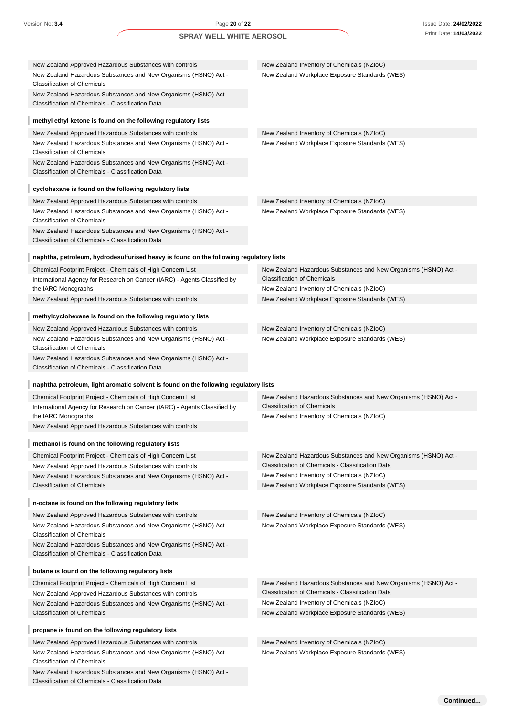| New Zealand Approved Hazardous Substances with controls                                                                    | New Zealand Inventory of Chemicals (NZIoC)                                                                           |
|----------------------------------------------------------------------------------------------------------------------------|----------------------------------------------------------------------------------------------------------------------|
| New Zealand Hazardous Substances and New Organisms (HSNO) Act -<br><b>Classification of Chemicals</b>                      | New Zealand Workplace Exposure Standards (WES)                                                                       |
| New Zealand Hazardous Substances and New Organisms (HSNO) Act -<br>Classification of Chemicals - Classification Data       |                                                                                                                      |
| methyl ethyl ketone is found on the following regulatory lists                                                             |                                                                                                                      |
| New Zealand Approved Hazardous Substances with controls                                                                    | New Zealand Inventory of Chemicals (NZIoC)                                                                           |
| New Zealand Hazardous Substances and New Organisms (HSNO) Act -<br><b>Classification of Chemicals</b>                      | New Zealand Workplace Exposure Standards (WES)                                                                       |
| New Zealand Hazardous Substances and New Organisms (HSNO) Act -<br>Classification of Chemicals - Classification Data       |                                                                                                                      |
| cyclohexane is found on the following regulatory lists                                                                     |                                                                                                                      |
| New Zealand Approved Hazardous Substances with controls                                                                    | New Zealand Inventory of Chemicals (NZIoC)                                                                           |
| New Zealand Hazardous Substances and New Organisms (HSNO) Act -<br><b>Classification of Chemicals</b>                      | New Zealand Workplace Exposure Standards (WES)                                                                       |
| New Zealand Hazardous Substances and New Organisms (HSNO) Act -<br>Classification of Chemicals - Classification Data       |                                                                                                                      |
| naphtha, petroleum, hydrodesulfurised heavy is found on the following regulatory lists                                     |                                                                                                                      |
| Chemical Footprint Project - Chemicals of High Concern List                                                                | New Zealand Hazardous Substances and New Organisms (HSNO) Act -                                                      |
| International Agency for Research on Cancer (IARC) - Agents Classified by                                                  | <b>Classification of Chemicals</b><br>New Zealand Inventory of Chemicals (NZIoC)                                     |
| the IARC Monographs<br>New Zealand Approved Hazardous Substances with controls                                             | New Zealand Workplace Exposure Standards (WES)                                                                       |
| methylcyclohexane is found on the following regulatory lists                                                               |                                                                                                                      |
|                                                                                                                            |                                                                                                                      |
| New Zealand Approved Hazardous Substances with controls<br>New Zealand Hazardous Substances and New Organisms (HSNO) Act - | New Zealand Inventory of Chemicals (NZIoC)<br>New Zealand Workplace Exposure Standards (WES)                         |
| <b>Classification of Chemicals</b>                                                                                         |                                                                                                                      |
| New Zealand Hazardous Substances and New Organisms (HSNO) Act -<br>Classification of Chemicals - Classification Data       |                                                                                                                      |
| naphtha petroleum, light aromatic solvent is found on the following regulatory lists                                       |                                                                                                                      |
| Chemical Footprint Project - Chemicals of High Concern List                                                                | New Zealand Hazardous Substances and New Organisms (HSNO) Act -                                                      |
| International Agency for Research on Cancer (IARC) - Agents Classified by                                                  | <b>Classification of Chemicals</b>                                                                                   |
| the IARC Monographs                                                                                                        | New Zealand Inventory of Chemicals (NZIoC)                                                                           |
| New Zealand Approved Hazardous Substances with controls                                                                    |                                                                                                                      |
| methanol is found on the following regulatory lists                                                                        |                                                                                                                      |
| Chemical Footprint Project - Chemicals of High Concern List<br>New Zealand Approved Hazardous Substances with controls     | New Zealand Hazardous Substances and New Organisms (HSNO) Act -<br>Classification of Chemicals - Classification Data |
| New Zealand Hazardous Substances and New Organisms (HSNO) Act -                                                            | New Zealand Inventory of Chemicals (NZIoC)                                                                           |
| <b>Classification of Chemicals</b>                                                                                         | New Zealand Workplace Exposure Standards (WES)                                                                       |
| n-octane is found on the following regulatory lists                                                                        |                                                                                                                      |
| New Zealand Approved Hazardous Substances with controls                                                                    | New Zealand Inventory of Chemicals (NZIoC)                                                                           |
| New Zealand Hazardous Substances and New Organisms (HSNO) Act -<br><b>Classification of Chemicals</b>                      | New Zealand Workplace Exposure Standards (WES)                                                                       |
| New Zealand Hazardous Substances and New Organisms (HSNO) Act -<br>Classification of Chemicals - Classification Data       |                                                                                                                      |
| butane is found on the following regulatory lists                                                                          |                                                                                                                      |
| Chemical Footprint Project - Chemicals of High Concern List                                                                | New Zealand Hazardous Substances and New Organisms (HSNO) Act -                                                      |
| New Zealand Approved Hazardous Substances with controls                                                                    | Classification of Chemicals - Classification Data                                                                    |
| New Zealand Hazardous Substances and New Organisms (HSNO) Act -                                                            | New Zealand Inventory of Chemicals (NZIoC)                                                                           |
| <b>Classification of Chemicals</b>                                                                                         | New Zealand Workplace Exposure Standards (WES)                                                                       |
| propane is found on the following regulatory lists                                                                         |                                                                                                                      |
| New Zealand Approved Hazardous Substances with controls                                                                    | New Zealand Inventory of Chemicals (NZIoC)                                                                           |
| New Zealand Hazardous Substances and New Organisms (HSNO) Act -<br><b>Classification of Chemicals</b>                      | New Zealand Workplace Exposure Standards (WES)                                                                       |
| New Zealand Hazardous Substances and New Organisms (HSNO) Act -<br>Classification of Chemicals - Classification Data       |                                                                                                                      |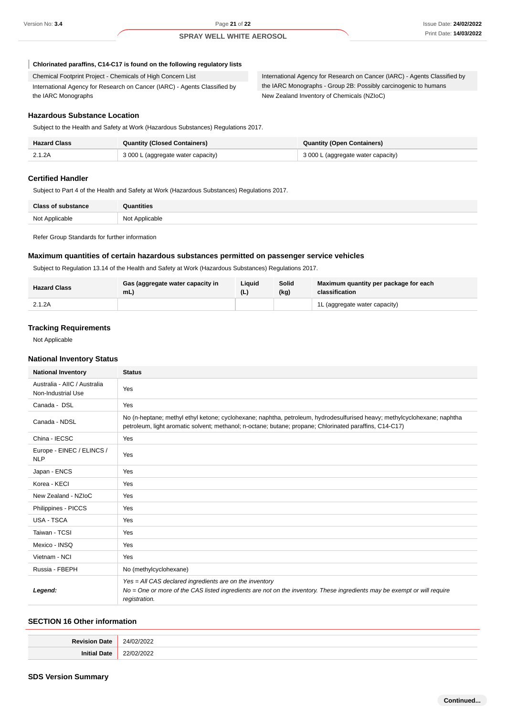ı

#### **SPRAY WELL WHITE AEROSOL**

#### **Chlorinated paraffins, C14-C17 is found on the following regulatory lists**

Chemical Footprint Project - Chemicals of High Concern List International Agency for Research on Cancer (IARC) - Agents Classified by the IARC Monographs

International Agency for Research on Cancer (IARC) - Agents Classified by the IARC Monographs - Group 2B: Possibly carcinogenic to humans New Zealand Inventory of Chemicals (NZIoC)

#### **Hazardous Substance Location**

Subject to the Health and Safety at Work (Hazardous Substances) Regulations 2017.

| <b>Hazard Class</b> | <b>Quantity (Closed Containers)</b> | Quantity (Open Containers)         |
|---------------------|-------------------------------------|------------------------------------|
| 2.1.2A              | 3 000 L (aggregate water capacity)  | 3 000 L (aggregate water capacity) |

#### **Certified Handler**

Subject to Part 4 of the Health and Safety at Work (Hazardous Substances) Regulations 2017.

| <b>Class of substance</b> | Quantities     |
|---------------------------|----------------|
| Not Applicable            | Not Applicable |

Refer Group Standards for further information

### **Maximum quantities of certain hazardous substances permitted on passenger service vehicles**

Subject to Regulation 13.14 of the Health and Safety at Work (Hazardous Substances) Regulations 2017.

| <b>Hazard Class</b> | <b>Gas (aggregate water capacity in</b><br>mL) | Liauid | Solid<br>(kg) | Maximum quantity per package for each<br>classification |
|---------------------|------------------------------------------------|--------|---------------|---------------------------------------------------------|
| 2.1.2A              |                                                |        |               | 1L (aggregate water capacity)                           |

#### **Tracking Requirements**

Not Applicable

#### **National Inventory Status**

| <b>National Inventory</b>                          | <b>Status</b>                                                                                                                                                                                                                       |
|----------------------------------------------------|-------------------------------------------------------------------------------------------------------------------------------------------------------------------------------------------------------------------------------------|
| Australia - AIIC / Australia<br>Non-Industrial Use | Yes                                                                                                                                                                                                                                 |
| Canada - DSL                                       | Yes                                                                                                                                                                                                                                 |
| Canada - NDSL                                      | No (n-heptane; methyl ethyl ketone; cyclohexane; naphtha, petroleum, hydrodesulfurised heavy; methylcyclohexane; naphtha<br>petroleum, light aromatic solvent; methanol; n-octane; butane; propane; Chlorinated paraffins, C14-C17) |
| China - IECSC                                      | Yes                                                                                                                                                                                                                                 |
| Europe - EINEC / ELINCS /<br><b>NLP</b>            | Yes                                                                                                                                                                                                                                 |
| Japan - ENCS                                       | Yes                                                                                                                                                                                                                                 |
| Korea - KECI                                       | Yes                                                                                                                                                                                                                                 |
| New Zealand - NZIoC                                | Yes                                                                                                                                                                                                                                 |
| Philippines - PICCS                                | Yes                                                                                                                                                                                                                                 |
| USA - TSCA                                         | Yes                                                                                                                                                                                                                                 |
| Taiwan - TCSI                                      | Yes                                                                                                                                                                                                                                 |
| Mexico - INSQ                                      | Yes                                                                                                                                                                                                                                 |
| Vietnam - NCI                                      | Yes                                                                                                                                                                                                                                 |
| Russia - FBEPH                                     | No (methylcyclohexane)                                                                                                                                                                                                              |
| Legend:                                            | Yes = All CAS declared ingredients are on the inventory<br>No = One or more of the CAS listed ingredients are not on the inventory. These ingredients may be exempt or will require<br>registration.                                |

### **SECTION 16 Other information**

| . |
|---|